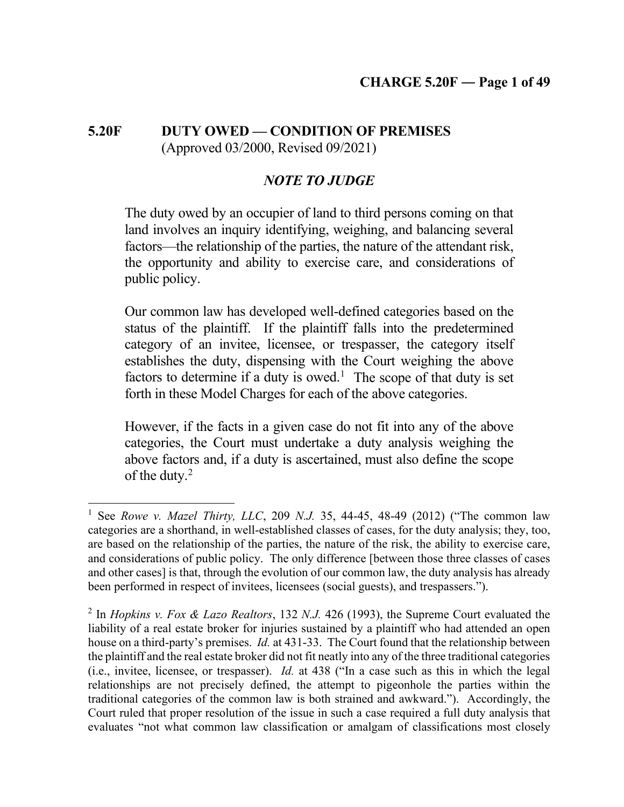# **5.20F DUTY OWED — CONDITION OF PREMISES** (Approved 03/2000, Revised 09/2021)

# *NOTE TO JUDGE*

The duty owed by an occupier of land to third persons coming on that land involves an inquiry identifying, weighing, and balancing several factors—the relationship of the parties, the nature of the attendant risk, the opportunity and ability to exercise care, and considerations of public policy.

Our common law has developed well-defined categories based on the status of the plaintiff. If the plaintiff falls into the predetermined category of an invitee, licensee, or trespasser, the category itself establishes the duty, dispensing with the Court weighing the above factors to determine if a duty is owed.<sup>[1](#page-0-0)</sup> The scope of that duty is set forth in these Model Charges for each of the above categories.

However, if the facts in a given case do not fit into any of the above categories, the Court must undertake a duty analysis weighing the above factors and, if a duty is ascertained, must also define the scope of the duty. $2$ 

<span id="page-0-0"></span><sup>1</sup> See *Rowe v. Mazel Thirty, LLC*, 209 *N.J.* 35, 44-45, 48-49 (2012) ("The common law categories are a shorthand, in well-established classes of cases, for the duty analysis; they, too, are based on the relationship of the parties, the nature of the risk, the ability to exercise care, and considerations of public policy. The only difference [between those three classes of cases and other cases] is that, through the evolution of our common law, the duty analysis has already been performed in respect of invitees, licensees (social guests), and trespassers.").

<span id="page-0-1"></span><sup>2</sup> In *Hopkins v. Fox & Lazo Realtors*, 132 *N.J.* 426 (1993), the Supreme Court evaluated the liability of a real estate broker for injuries sustained by a plaintiff who had attended an open house on a third-party's premises. *Id.* at 431-33. The Court found that the relationship between the plaintiff and the real estate broker did not fit neatly into any of the three traditional categories (i.e., invitee, licensee, or trespasser). *Id.* at 438 ("In a case such as this in which the legal relationships are not precisely defined, the attempt to pigeonhole the parties within the traditional categories of the common law is both strained and awkward."). Accordingly, the Court ruled that proper resolution of the issue in such a case required a full duty analysis that evaluates "not what common law classification or amalgam of classifications most closely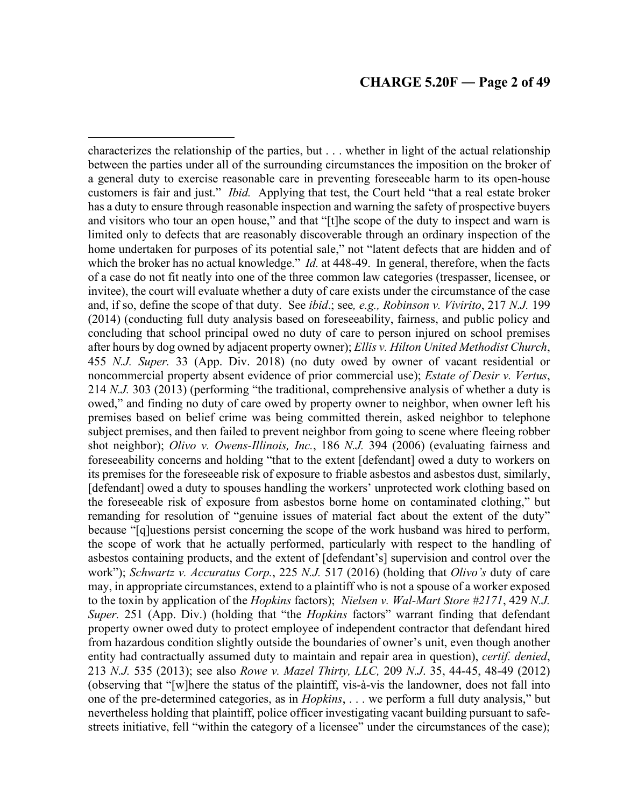characterizes the relationship of the parties, but . . . whether in light of the actual relationship between the parties under all of the surrounding circumstances the imposition on the broker of a general duty to exercise reasonable care in preventing foreseeable harm to its open-house customers is fair and just." *Ibid.* Applying that test, the Court held "that a real estate broker has a duty to ensure through reasonable inspection and warning the safety of prospective buyers and visitors who tour an open house," and that "[t]he scope of the duty to inspect and warn is limited only to defects that are reasonably discoverable through an ordinary inspection of the home undertaken for purposes of its potential sale," not "latent defects that are hidden and of which the broker has no actual knowledge." *Id.* at 448-49. In general, therefore, when the facts of a case do not fit neatly into one of the three common law categories (trespasser, licensee, or invitee), the court will evaluate whether a duty of care exists under the circumstance of the case and, if so, define the scope of that duty. See *ibid*.; see*, e.g., Robinson v. Vivirito*, 217 *N.J.* 199 (2014) (conducting full duty analysis based on foreseeability, fairness, and public policy and concluding that school principal owed no duty of care to person injured on school premises after hours by dog owned by adjacent property owner); *Ellis v. Hilton United Methodist Church*, 455 *N.J. Super.* 33 (App. Div. 2018) (no duty owed by owner of vacant residential or noncommercial property absent evidence of prior commercial use); *Estate of Desir v. Vertus*, 214 *N.J.* 303 (2013) (performing "the traditional, comprehensive analysis of whether a duty is owed," and finding no duty of care owed by property owner to neighbor, when owner left his premises based on belief crime was being committed therein, asked neighbor to telephone subject premises, and then failed to prevent neighbor from going to scene where fleeing robber shot neighbor); *Olivo v. Owens-Illinois, Inc.*, 186 *N.J.* 394 (2006) (evaluating fairness and foreseeability concerns and holding "that to the extent [defendant] owed a duty to workers on its premises for the foreseeable risk of exposure to friable asbestos and asbestos dust, similarly, [defendant] owed a duty to spouses handling the workers' unprotected work clothing based on the foreseeable risk of exposure from asbestos borne home on contaminated clothing," but remanding for resolution of "genuine issues of material fact about the extent of the duty" because "[q]uestions persist concerning the scope of the work husband was hired to perform, the scope of work that he actually performed, particularly with respect to the handling of asbestos containing products, and the extent of [defendant's] supervision and control over the work"); *Schwartz v. Accuratus Corp.*, 225 *N.J.* 517 (2016) (holding that *Olivo's* duty of care may, in appropriate circumstances, extend to a plaintiff who is not a spouse of a worker exposed to the toxin by application of the *Hopkins* factors); *Nielsen v. Wal-Mart Store #2171*, 429 *N.J. Super.* 251 (App. Div.) (holding that "the *Hopkins* factors" warrant finding that defendant property owner owed duty to protect employee of independent contractor that defendant hired from hazardous condition slightly outside the boundaries of owner's unit, even though another entity had contractually assumed duty to maintain and repair area in question), *certif. denied*, 213 *N.J.* 535 (2013); see also *Rowe v. Mazel Thirty, LLC,* 209 *N.J*. 35, 44-45, 48-49 (2012) (observing that "[w]here the status of the plaintiff, vis-à-vis the landowner, does not fall into one of the pre-determined categories, as in *Hopkins*, . . . we perform a full duty analysis," but nevertheless holding that plaintiff, police officer investigating vacant building pursuant to safestreets initiative, fell "within the category of a licensee" under the circumstances of the case);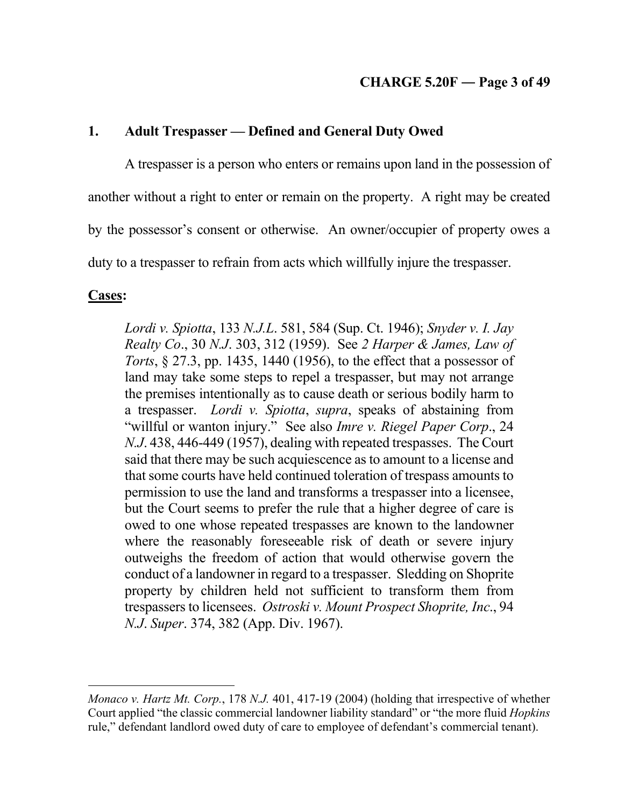# **1. Adult Trespasser — Defined and General Duty Owed**

A trespasser is a person who enters or remains upon land in the possession of

another without a right to enter or remain on the property. A right may be created

by the possessor's consent or otherwise. An owner/occupier of property owes a

duty to a trespasser to refrain from acts which willfully injure the trespasser.

## **Cases:**

*Lordi v. Spiotta*, 133 *N.J.L*. 581, 584 (Sup. Ct. 1946); *Snyder v. I. Jay Realty Co*., 30 *N.J*. 303, 312 (1959). See *2 Harper & James, Law of Torts*, § 27.3, pp. 1435, 1440 (1956), to the effect that a possessor of land may take some steps to repel a trespasser, but may not arrange the premises intentionally as to cause death or serious bodily harm to a trespasser. *Lordi v. Spiotta*, *supra*, speaks of abstaining from "willful or wanton injury." See also *Imre v. Riegel Paper Corp*., 24 *N.J*. 438, 446-449 (1957), dealing with repeated trespasses. The Court said that there may be such acquiescence as to amount to a license and that some courts have held continued toleration of trespass amounts to permission to use the land and transforms a trespasser into a licensee, but the Court seems to prefer the rule that a higher degree of care is owed to one whose repeated trespasses are known to the landowner where the reasonably foreseeable risk of death or severe injury outweighs the freedom of action that would otherwise govern the conduct of a landowner in regard to a trespasser. Sledding on Shoprite property by children held not sufficient to transform them from trespassers to licensees. *Ostroski v. Mount Prospect Shoprite, Inc*., 94 *N.J*. *Super*. 374, 382 (App. Div. 1967).

*Monaco v. Hartz Mt. Corp.*, 178 *N.J.* 401, 417-19 (2004) (holding that irrespective of whether Court applied "the classic commercial landowner liability standard" or "the more fluid *Hopkins* rule," defendant landlord owed duty of care to employee of defendant's commercial tenant).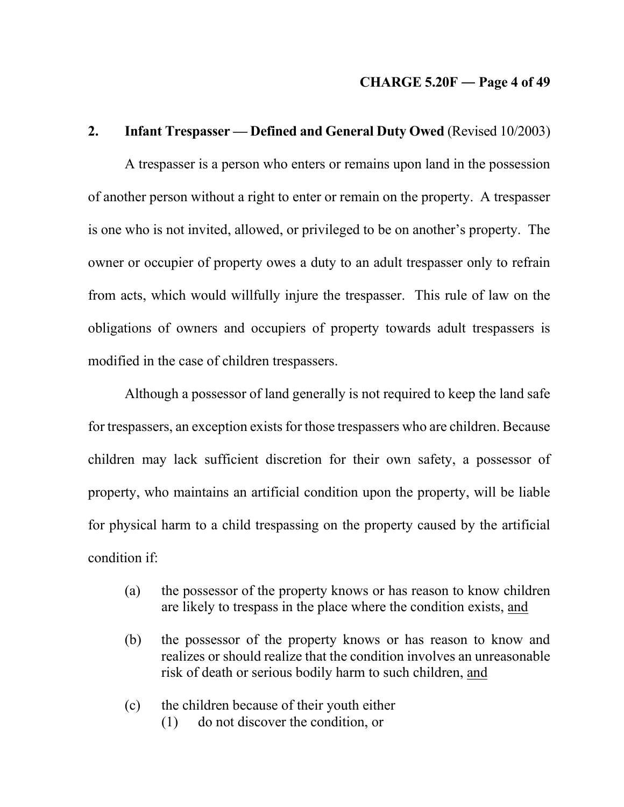#### **CHARGE 5.20F ― Page 4 of 49**

## **2. Infant Trespasser — Defined and General Duty Owed** (Revised 10/2003)

A trespasser is a person who enters or remains upon land in the possession of another person without a right to enter or remain on the property. A trespasser is one who is not invited, allowed, or privileged to be on another's property. The owner or occupier of property owes a duty to an adult trespasser only to refrain from acts, which would willfully injure the trespasser. This rule of law on the obligations of owners and occupiers of property towards adult trespassers is modified in the case of children trespassers.

Although a possessor of land generally is not required to keep the land safe for trespassers, an exception exists for those trespassers who are children. Because children may lack sufficient discretion for their own safety, a possessor of property, who maintains an artificial condition upon the property, will be liable for physical harm to a child trespassing on the property caused by the artificial condition if:

- (a) the possessor of the property knows or has reason to know children are likely to trespass in the place where the condition exists, and
- (b) the possessor of the property knows or has reason to know and realizes or should realize that the condition involves an unreasonable risk of death or serious bodily harm to such children, and
- (c) the children because of their youth either (1) do not discover the condition, or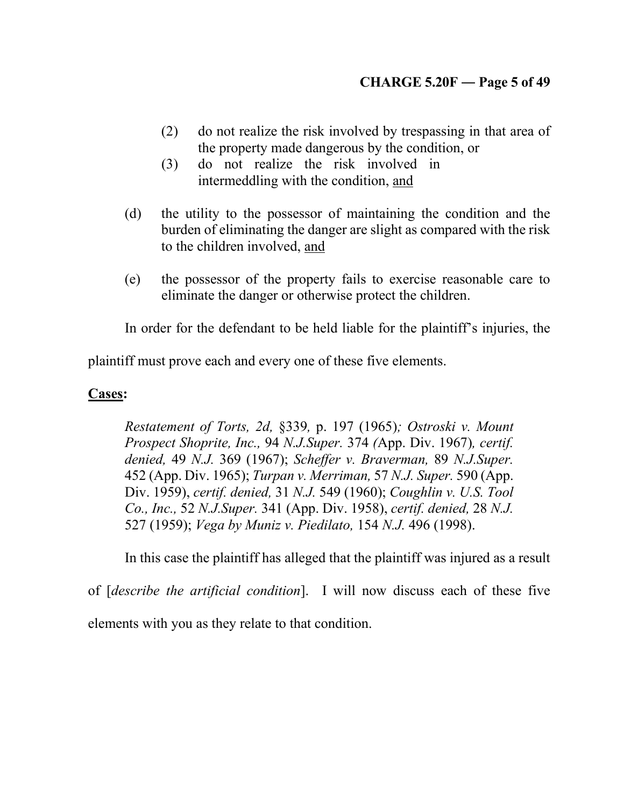- (2) do not realize the risk involved by trespassing in that area of the property made dangerous by the condition, or
- (3) do not realize the risk involved in intermeddling with the condition, and
- (d) the utility to the possessor of maintaining the condition and the burden of eliminating the danger are slight as compared with the risk to the children involved, and
- (e) the possessor of the property fails to exercise reasonable care to eliminate the danger or otherwise protect the children.

In order for the defendant to be held liable for the plaintiff's injuries, the

plaintiff must prove each and every one of these five elements.

# **Cases:**

*Restatement of Torts, 2d,* §339*,* p. 197 (1965)*; Ostroski v. Mount Prospect Shoprite, Inc.,* 94 *N.J.Super.* 374 *(*App. Div. 1967)*, certif. denied,* 49 *N.J.* 369 (1967); *Scheffer v. Braverman,* 89 *N.J.Super.*  452 (App. Div. 1965); *Turpan v. Merriman,* 57 *N.J. Super.* 590 (App. Div. 1959), *certif. denied,* 31 *N.J.* 549 (1960); *Coughlin v. U.S. Tool Co., Inc.,* 52 *N.J.Super.* 341 (App. Div. 1958), *certif. denied,* 28 *N.J.*  527 (1959); *Vega by Muniz v. Piedilato,* 154 *N.J.* 496 (1998).

In this case the plaintiff has alleged that the plaintiff was injured as a result

of [*describe the artificial condition*]. I will now discuss each of these five elements with you as they relate to that condition.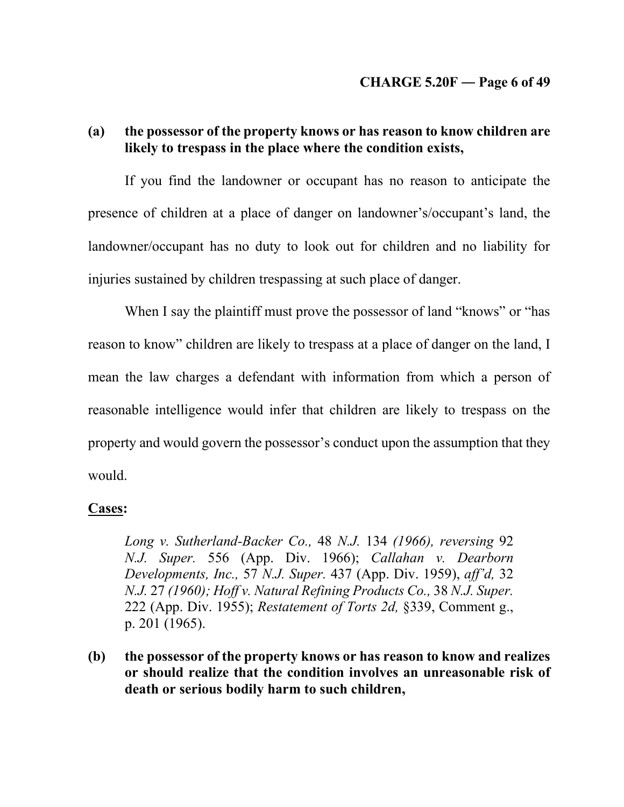# **(a) the possessor of the property knows or has reason to know children are likely to trespass in the place where the condition exists,**

If you find the landowner or occupant has no reason to anticipate the presence of children at a place of danger on landowner's/occupant's land, the landowner/occupant has no duty to look out for children and no liability for injuries sustained by children trespassing at such place of danger.

When I say the plaintiff must prove the possessor of land "knows" or "has reason to know" children are likely to trespass at a place of danger on the land, I mean the law charges a defendant with information from which a person of reasonable intelligence would infer that children are likely to trespass on the property and would govern the possessor's conduct upon the assumption that they would.

## **Cases:**

*Long v. Sutherland-Backer Co.,* 48 *N.J.* 134 *(1966), reversing* 92 *N.J. Super.* 556 (App. Div. 1966); *Callahan v. Dearborn Developments, Inc.,* 57 *N.J. Super.* 437 (App. Div. 1959), *aff'd,* 32 *N.J.* 27 *(1960); Hoff v. Natural Refining Products Co.,* 38 *N.J. Super.*  222 (App. Div. 1955); *Restatement of Torts 2d,* §339, Comment g., p. 201 (1965).

**(b) the possessor of the property knows or has reason to know and realizes or should realize that the condition involves an unreasonable risk of death or serious bodily harm to such children,**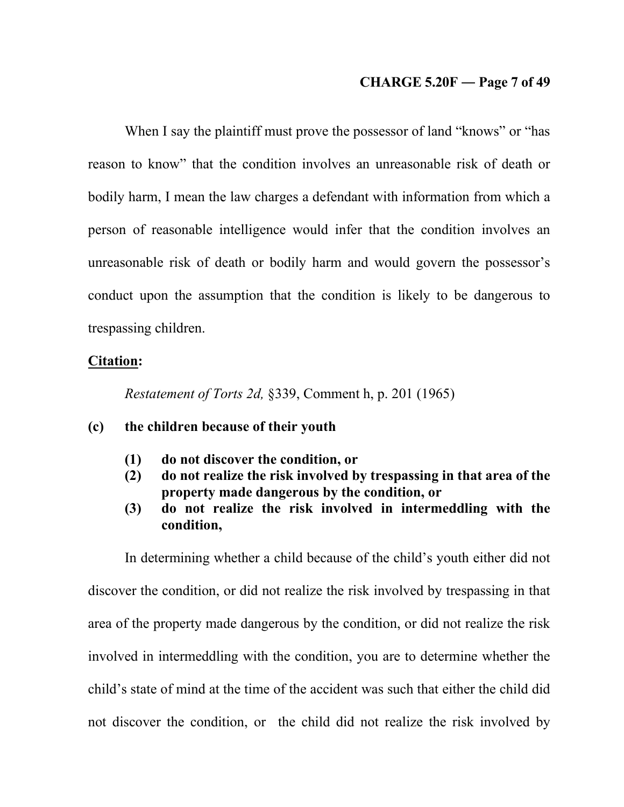### **CHARGE 5.20F ― Page 7 of 49**

When I say the plaintiff must prove the possessor of land "knows" or "has reason to know" that the condition involves an unreasonable risk of death or bodily harm, I mean the law charges a defendant with information from which a person of reasonable intelligence would infer that the condition involves an unreasonable risk of death or bodily harm and would govern the possessor's conduct upon the assumption that the condition is likely to be dangerous to trespassing children.

### **Citation:**

*Restatement of Torts 2d,* §339, Comment h, p. 201 (1965)

## **(c) the children because of their youth**

- **(1) do not discover the condition, or**
- **(2) do not realize the risk involved by trespassing in that area of the property made dangerous by the condition, or**
- **(3) do not realize the risk involved in intermeddling with the condition,**

In determining whether a child because of the child's youth either did not discover the condition, or did not realize the risk involved by trespassing in that area of the property made dangerous by the condition, or did not realize the risk involved in intermeddling with the condition, you are to determine whether the child's state of mind at the time of the accident was such that either the child did not discover the condition, or the child did not realize the risk involved by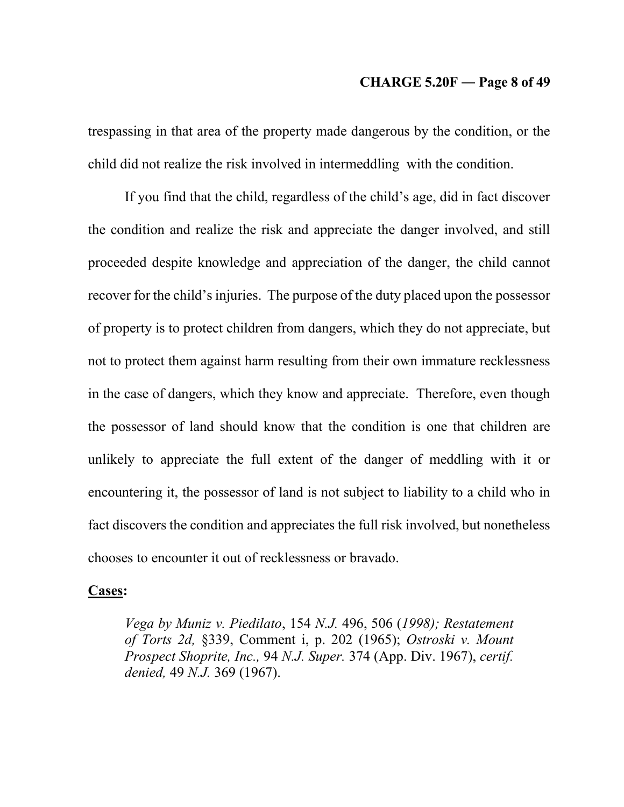#### **CHARGE 5.20F ― Page 8 of 49**

trespassing in that area of the property made dangerous by the condition, or the child did not realize the risk involved in intermeddling with the condition.

If you find that the child, regardless of the child's age, did in fact discover the condition and realize the risk and appreciate the danger involved, and still proceeded despite knowledge and appreciation of the danger, the child cannot recover for the child's injuries. The purpose of the duty placed upon the possessor of property is to protect children from dangers, which they do not appreciate, but not to protect them against harm resulting from their own immature recklessness in the case of dangers, which they know and appreciate. Therefore, even though the possessor of land should know that the condition is one that children are unlikely to appreciate the full extent of the danger of meddling with it or encountering it, the possessor of land is not subject to liability to a child who in fact discovers the condition and appreciates the full risk involved, but nonetheless chooses to encounter it out of recklessness or bravado.

### **Cases:**

*Vega by Muniz v. Piedilato*, 154 *N.J.* 496, 506 (*1998); Restatement of Torts 2d,* §339, Comment i, p. 202 (1965); *Ostroski v. Mount Prospect Shoprite, Inc.,* 94 *N.J. Super.* 374 (App. Div. 1967), *certif. denied,* 49 *N.J.* 369 (1967).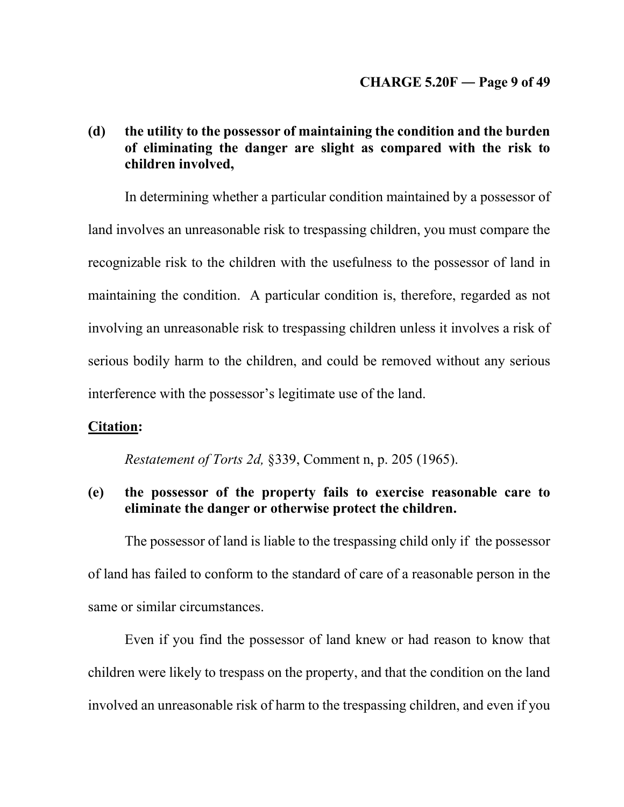# **(d) the utility to the possessor of maintaining the condition and the burden of eliminating the danger are slight as compared with the risk to children involved,**

In determining whether a particular condition maintained by a possessor of land involves an unreasonable risk to trespassing children, you must compare the recognizable risk to the children with the usefulness to the possessor of land in maintaining the condition. A particular condition is, therefore, regarded as not involving an unreasonable risk to trespassing children unless it involves a risk of serious bodily harm to the children, and could be removed without any serious interference with the possessor's legitimate use of the land.

### **Citation:**

*Restatement of Torts 2d,* §339, Comment n, p. 205 (1965).

# **(e) the possessor of the property fails to exercise reasonable care to eliminate the danger or otherwise protect the children.**

The possessor of land is liable to the trespassing child only if the possessor of land has failed to conform to the standard of care of a reasonable person in the same or similar circumstances.

Even if you find the possessor of land knew or had reason to know that children were likely to trespass on the property, and that the condition on the land involved an unreasonable risk of harm to the trespassing children, and even if you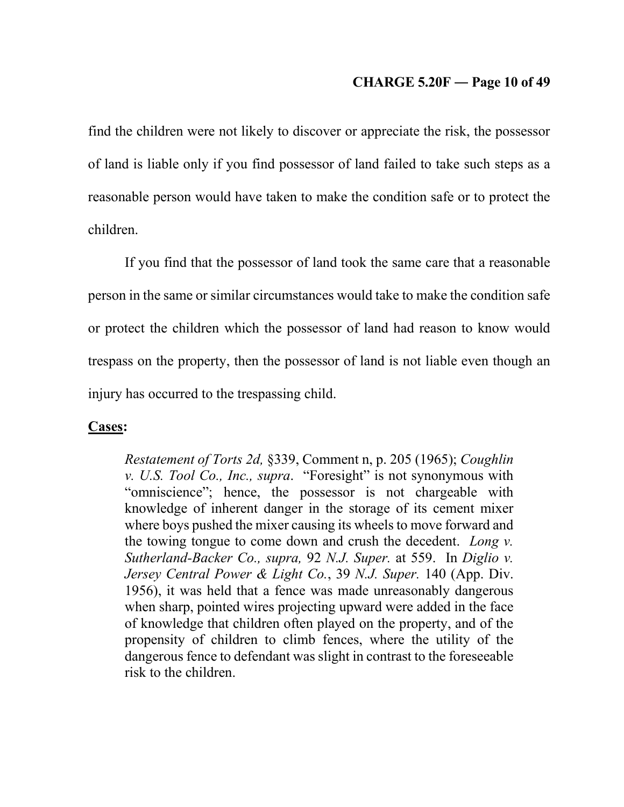## **CHARGE 5.20F ― Page 10 of 49**

find the children were not likely to discover or appreciate the risk, the possessor of land is liable only if you find possessor of land failed to take such steps as a reasonable person would have taken to make the condition safe or to protect the children.

If you find that the possessor of land took the same care that a reasonable person in the same or similar circumstances would take to make the condition safe or protect the children which the possessor of land had reason to know would trespass on the property, then the possessor of land is not liable even though an injury has occurred to the trespassing child.

### **Cases:**

*Restatement of Torts 2d,* §339, Comment n, p. 205 (1965); *Coughlin v. U.S. Tool Co., Inc., supra*. "Foresight" is not synonymous with "omniscience"; hence, the possessor is not chargeable with knowledge of inherent danger in the storage of its cement mixer where boys pushed the mixer causing its wheels to move forward and the towing tongue to come down and crush the decedent. *Long v. Sutherland-Backer Co., supra,* 92 *N.J. Super.* at 559. In *Diglio v. Jersey Central Power & Light Co.*, 39 *N.J. Super.* 140 (App. Div. 1956), it was held that a fence was made unreasonably dangerous when sharp, pointed wires projecting upward were added in the face of knowledge that children often played on the property, and of the propensity of children to climb fences, where the utility of the dangerous fence to defendant was slight in contrast to the foreseeable risk to the children.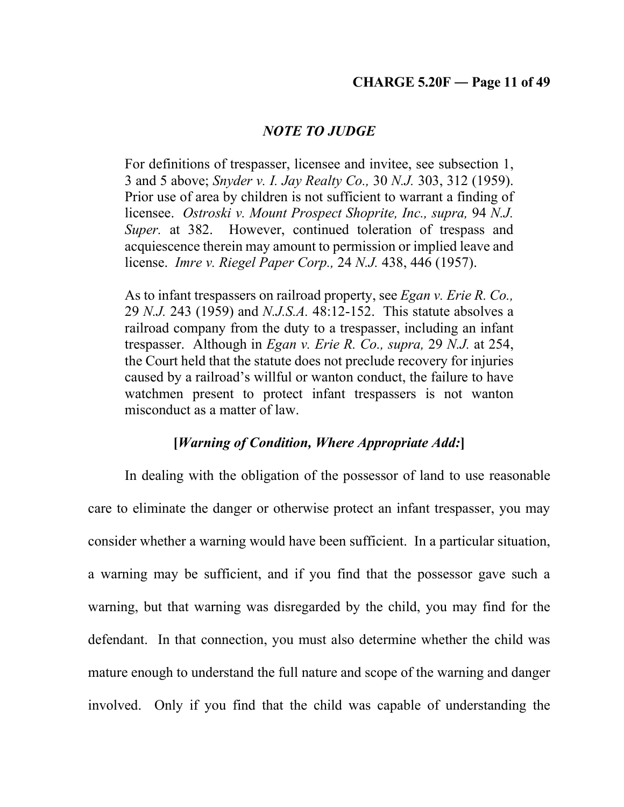## **CHARGE 5.20F ― Page 11 of 49**

### *NOTE TO JUDGE*

For definitions of trespasser, licensee and invitee, see subsection 1, 3 and 5 above; *Snyder v. I. Jay Realty Co.,* 30 *N.J.* 303, 312 (1959). Prior use of area by children is not sufficient to warrant a finding of licensee. *Ostroski v. Mount Prospect Shoprite, Inc., supra,* 94 *N.J. Super.* at 382. However, continued toleration of trespass and acquiescence therein may amount to permission or implied leave and license. *Imre v. Riegel Paper Corp.,* 24 *N.J.* 438, 446 (1957).

As to infant trespassers on railroad property, see *Egan v. Erie R. Co.,*  29 *N.J.* 243 (1959) and *N.J.S.A.* 48:12-152. This statute absolves a railroad company from the duty to a trespasser, including an infant trespasser. Although in *Egan v. Erie R. Co., supra,* 29 *N.J.* at 254, the Court held that the statute does not preclude recovery for injuries caused by a railroad's willful or wanton conduct, the failure to have watchmen present to protect infant trespassers is not wanton misconduct as a matter of law.

### **[***Warning of Condition, Where Appropriate Add:***]**

In dealing with the obligation of the possessor of land to use reasonable care to eliminate the danger or otherwise protect an infant trespasser, you may consider whether a warning would have been sufficient. In a particular situation, a warning may be sufficient, and if you find that the possessor gave such a warning, but that warning was disregarded by the child, you may find for the defendant. In that connection, you must also determine whether the child was mature enough to understand the full nature and scope of the warning and danger involved. Only if you find that the child was capable of understanding the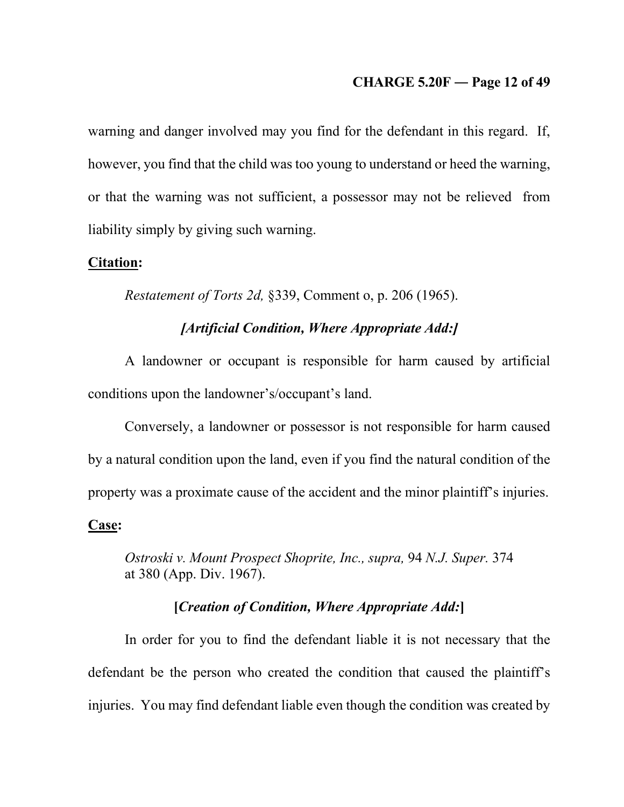### **CHARGE 5.20F ― Page 12 of 49**

warning and danger involved may you find for the defendant in this regard. If, however, you find that the child was too young to understand or heed the warning, or that the warning was not sufficient, a possessor may not be relieved from liability simply by giving such warning.

#### **Citation:**

*Restatement of Torts 2d,* §339, Comment o, p. 206 (1965).

# *[Artificial Condition, Where Appropriate Add:]*

A landowner or occupant is responsible for harm caused by artificial conditions upon the landowner's/occupant's land.

Conversely, a landowner or possessor is not responsible for harm caused by a natural condition upon the land, even if you find the natural condition of the property was a proximate cause of the accident and the minor plaintiff's injuries. **Case:**

*Ostroski v. Mount Prospect Shoprite, Inc., supra,* 94 *N.J. Super.* 374 at 380 (App. Div. 1967).

## **[***Creation of Condition, Where Appropriate Add:***]**

In order for you to find the defendant liable it is not necessary that the defendant be the person who created the condition that caused the plaintiff's injuries. You may find defendant liable even though the condition was created by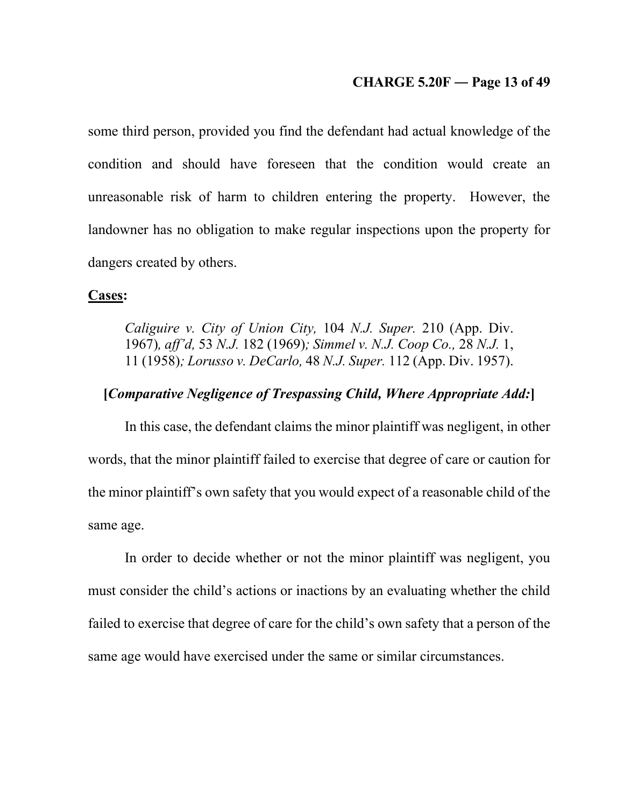#### **CHARGE 5.20F ― Page 13 of 49**

some third person, provided you find the defendant had actual knowledge of the condition and should have foreseen that the condition would create an unreasonable risk of harm to children entering the property. However, the landowner has no obligation to make regular inspections upon the property for dangers created by others.

#### **Cases:**

*Caliguire v. City of Union City,* 104 *N.J. Super.* 210 (App. Div. 1967)*, aff'd,* 53 *N.J.* 182 (1969)*; Simmel v. N.J. Coop Co.,* 28 *N.J.* 1, 11 (1958)*; Lorusso v. DeCarlo,* 48 *N.J. Super.* 112 (App. Div. 1957).

## **[***Comparative Negligence of Trespassing Child, Where Appropriate Add:***]**

In this case, the defendant claims the minor plaintiff was negligent, in other words, that the minor plaintiff failed to exercise that degree of care or caution for the minor plaintiff's own safety that you would expect of a reasonable child of the same age.

In order to decide whether or not the minor plaintiff was negligent, you must consider the child's actions or inactions by an evaluating whether the child failed to exercise that degree of care for the child's own safety that a person of the same age would have exercised under the same or similar circumstances.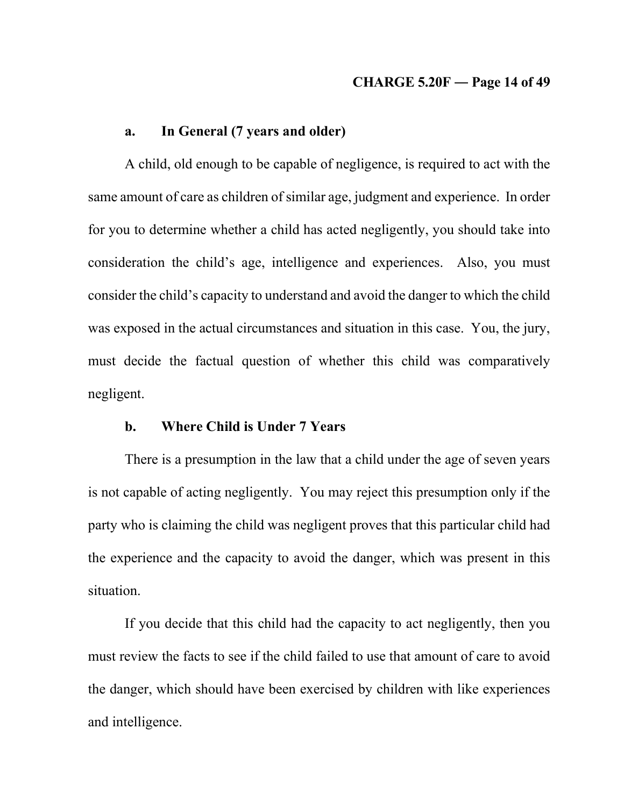## **CHARGE 5.20F ― Page 14 of 49**

## **a. In General (7 years and older)**

A child, old enough to be capable of negligence, is required to act with the same amount of care as children of similar age, judgment and experience. In order for you to determine whether a child has acted negligently, you should take into consideration the child's age, intelligence and experiences. Also, you must consider the child's capacity to understand and avoid the danger to which the child was exposed in the actual circumstances and situation in this case. You, the jury, must decide the factual question of whether this child was comparatively negligent.

### **b. Where Child is Under 7 Years**

There is a presumption in the law that a child under the age of seven years is not capable of acting negligently. You may reject this presumption only if the party who is claiming the child was negligent proves that this particular child had the experience and the capacity to avoid the danger, which was present in this situation.

If you decide that this child had the capacity to act negligently, then you must review the facts to see if the child failed to use that amount of care to avoid the danger, which should have been exercised by children with like experiences and intelligence.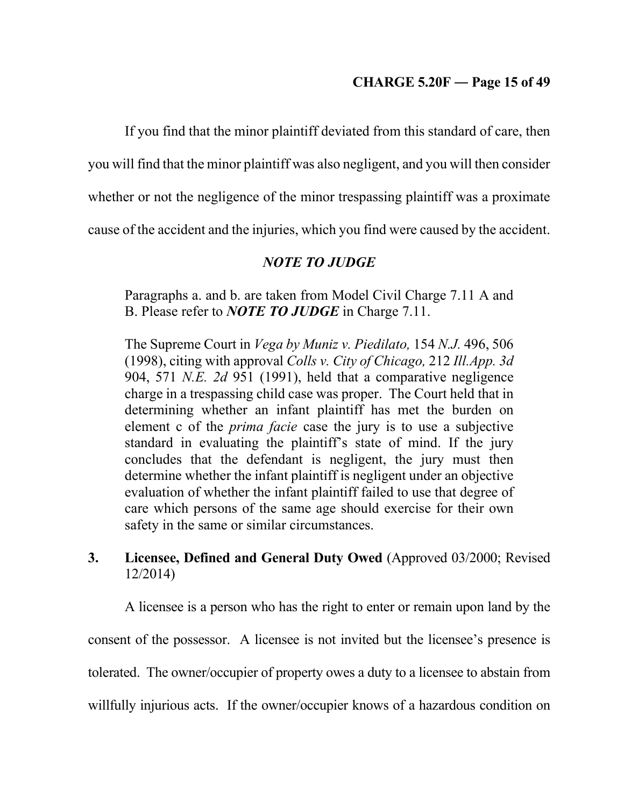If you find that the minor plaintiff deviated from this standard of care, then

you will find that the minor plaintiff was also negligent, and you will then consider

whether or not the negligence of the minor trespassing plaintiff was a proximate

cause of the accident and the injuries, which you find were caused by the accident.

# *NOTE TO JUDGE*

Paragraphs a. and b. are taken from Model Civil Charge 7.11 A and B. Please refer to *NOTE TO JUDGE* in Charge 7.11.

The Supreme Court in *Vega by Muniz v. Piedilato,* 154 *N.J.* 496, 506 (1998), citing with approval *Colls v. City of Chicago,* 212 *Ill.App. 3d*  904, 571 *N.E. 2d* 951 (1991), held that a comparative negligence charge in a trespassing child case was proper. The Court held that in determining whether an infant plaintiff has met the burden on element c of the *prima facie* case the jury is to use a subjective standard in evaluating the plaintiff's state of mind. If the jury concludes that the defendant is negligent, the jury must then determine whether the infant plaintiff is negligent under an objective evaluation of whether the infant plaintiff failed to use that degree of care which persons of the same age should exercise for their own safety in the same or similar circumstances.

# **3. Licensee, Defined and General Duty Owed** (Approved 03/2000; Revised 12/2014)

A licensee is a person who has the right to enter or remain upon land by the consent of the possessor. A licensee is not invited but the licensee's presence is tolerated. The owner/occupier of property owes a duty to a licensee to abstain from willfully injurious acts. If the owner/occupier knows of a hazardous condition on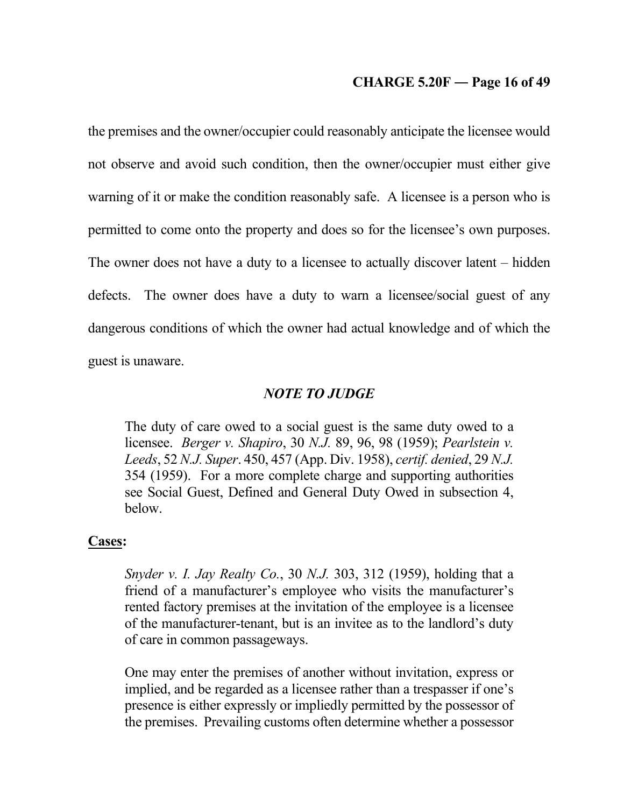### **CHARGE 5.20F ― Page 16 of 49**

the premises and the owner/occupier could reasonably anticipate the licensee would not observe and avoid such condition, then the owner/occupier must either give warning of it or make the condition reasonably safe. A licensee is a person who is permitted to come onto the property and does so for the licensee's own purposes. The owner does not have a duty to a licensee to actually discover latent – hidden defects. The owner does have a duty to warn a licensee/social guest of any dangerous conditions of which the owner had actual knowledge and of which the guest is unaware.

### *NOTE TO JUDGE*

The duty of care owed to a social guest is the same duty owed to a licensee. *Berger v. Shapiro*, 30 *N.J.* 89, 96, 98 (1959); *Pearlstein v. Leeds*, 52 *N.J. Super*. 450, 457 (App. Div. 1958), *certif. denied*, 29 *N.J.* 354 (1959). For a more complete charge and supporting authorities see Social Guest, Defined and General Duty Owed in subsection 4, below.

#### **Cases:**

*Snyder v. I. Jay Realty Co.*, 30 *N.J.* 303, 312 (1959), holding that a friend of a manufacturer's employee who visits the manufacturer's rented factory premises at the invitation of the employee is a licensee of the manufacturer-tenant, but is an invitee as to the landlord's duty of care in common passageways.

One may enter the premises of another without invitation, express or implied, and be regarded as a licensee rather than a trespasser if one's presence is either expressly or impliedly permitted by the possessor of the premises. Prevailing customs often determine whether a possessor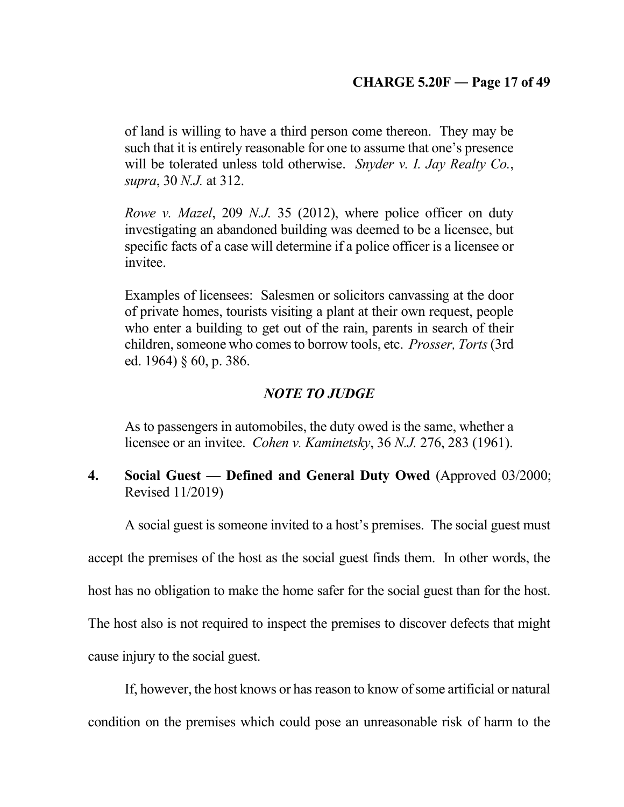of land is willing to have a third person come thereon. They may be such that it is entirely reasonable for one to assume that one's presence will be tolerated unless told otherwise. *Snyder v. I. Jay Realty Co.*, *supra*, 30 *N.J.* at 312.

*Rowe v. Mazel*, 209 *N.J.* 35 (2012), where police officer on duty investigating an abandoned building was deemed to be a licensee, but specific facts of a case will determine if a police officer is a licensee or invitee.

Examples of licensees: Salesmen or solicitors canvassing at the door of private homes, tourists visiting a plant at their own request, people who enter a building to get out of the rain, parents in search of their children, someone who comes to borrow tools, etc. *Prosser, Torts*(3rd ed. 1964) § 60, p. 386.

# *NOTE TO JUDGE*

As to passengers in automobiles, the duty owed is the same, whether a licensee or an invitee. *Cohen v. Kaminetsky*, 36 *N.J.* 276, 283 (1961).

# **4. Social Guest — Defined and General Duty Owed** (Approved 03/2000; Revised 11/2019)

A social guest is someone invited to a host's premises. The social guest must

accept the premises of the host as the social guest finds them. In other words, the

host has no obligation to make the home safer for the social guest than for the host.

The host also is not required to inspect the premises to discover defects that might

cause injury to the social guest.

If, however, the host knows or has reason to know of some artificial or natural condition on the premises which could pose an unreasonable risk of harm to the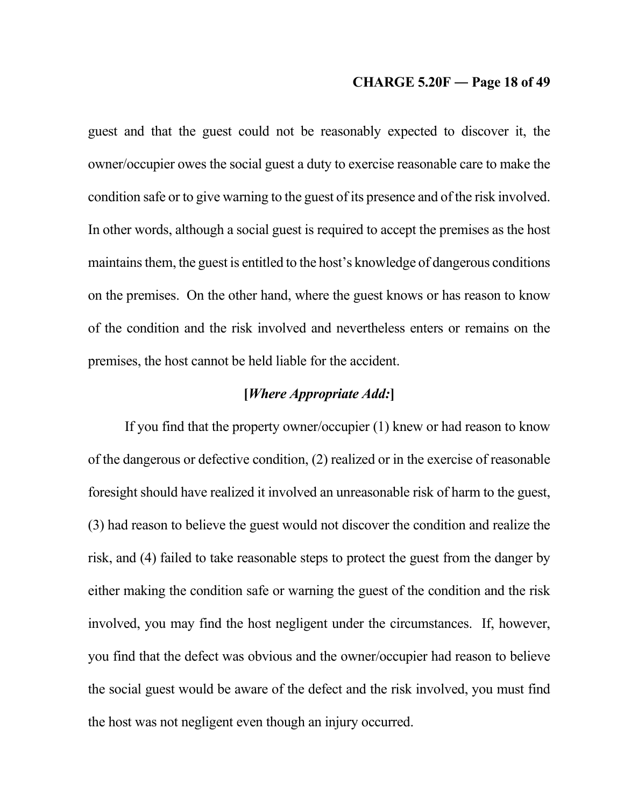### **CHARGE 5.20F ― Page 18 of 49**

guest and that the guest could not be reasonably expected to discover it, the owner/occupier owes the social guest a duty to exercise reasonable care to make the condition safe or to give warning to the guest of its presence and of the risk involved. In other words, although a social guest is required to accept the premises as the host maintains them, the guest is entitled to the host's knowledge of dangerous conditions on the premises. On the other hand, where the guest knows or has reason to know of the condition and the risk involved and nevertheless enters or remains on the premises, the host cannot be held liable for the accident.

# **[***Where Appropriate Add:***]**

If you find that the property owner/occupier (1) knew or had reason to know of the dangerous or defective condition, (2) realized or in the exercise of reasonable foresight should have realized it involved an unreasonable risk of harm to the guest, (3) had reason to believe the guest would not discover the condition and realize the risk, and (4) failed to take reasonable steps to protect the guest from the danger by either making the condition safe or warning the guest of the condition and the risk involved, you may find the host negligent under the circumstances. If, however, you find that the defect was obvious and the owner/occupier had reason to believe the social guest would be aware of the defect and the risk involved, you must find the host was not negligent even though an injury occurred.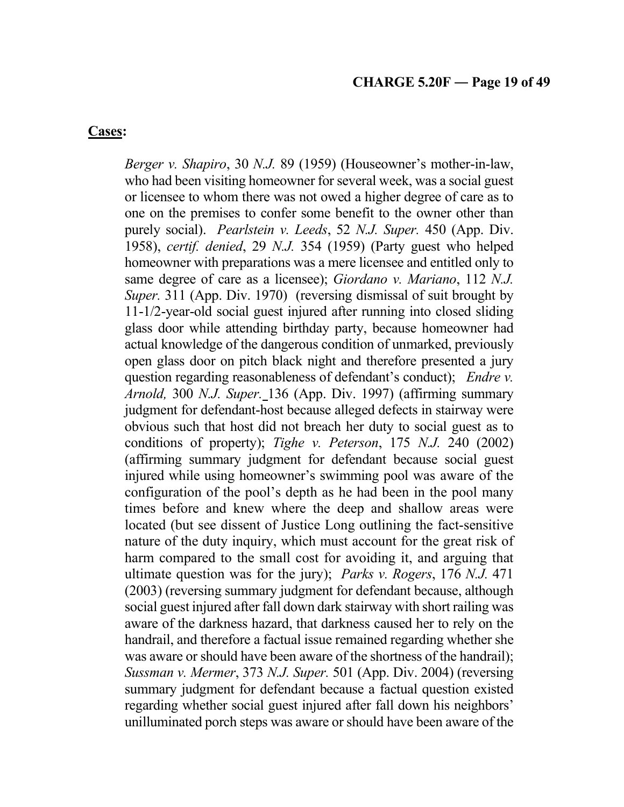## **Cases:**

*Berger v. Shapiro*, 30 *N.J.* 89 (1959) (Houseowner's mother-in-law, who had been visiting homeowner for several week, was a social guest or licensee to whom there was not owed a higher degree of care as to one on the premises to confer some benefit to the owner other than purely social). *Pearlstein v. Leeds*, 52 *N.J. Super.* 450 (App. Div. 1958), *certif. denied*, 29 *N.J.* 354 (1959) (Party guest who helped homeowner with preparations was a mere licensee and entitled only to same degree of care as a licensee); *Giordano v. Mariano*, 112 *N.J. Super.* 311 (App. Div. 1970) (reversing dismissal of suit brought by 11-1/2-year-old social guest injured after running into closed sliding glass door while attending birthday party, because homeowner had actual knowledge of the dangerous condition of unmarked, previously open glass door on pitch black night and therefore presented a jury question regarding reasonableness of defendant's conduct); *Endre v. Arnold,* 300 *N.J. Super.* 136 (App. Div. 1997) (affirming summary judgment for defendant-host because alleged defects in stairway were obvious such that host did not breach her duty to social guest as to conditions of property); *Tighe v. Peterson*, 175 *N.J.* 240 (2002) (affirming summary judgment for defendant because social guest injured while using homeowner's swimming pool was aware of the configuration of the pool's depth as he had been in the pool many times before and knew where the deep and shallow areas were located (but see dissent of Justice Long outlining the fact-sensitive nature of the duty inquiry, which must account for the great risk of harm compared to the small cost for avoiding it, and arguing that ultimate question was for the jury); *Parks v. Rogers*, 176 *N.J.* 471 (2003) (reversing summary judgment for defendant because, although social guest injured after fall down dark stairway with short railing was aware of the darkness hazard, that darkness caused her to rely on the handrail, and therefore a factual issue remained regarding whether she was aware or should have been aware of the shortness of the handrail); *Sussman v. Mermer*, 373 *N.J. Super.* 501 (App. Div. 2004) (reversing summary judgment for defendant because a factual question existed regarding whether social guest injured after fall down his neighbors' unilluminated porch steps was aware or should have been aware of the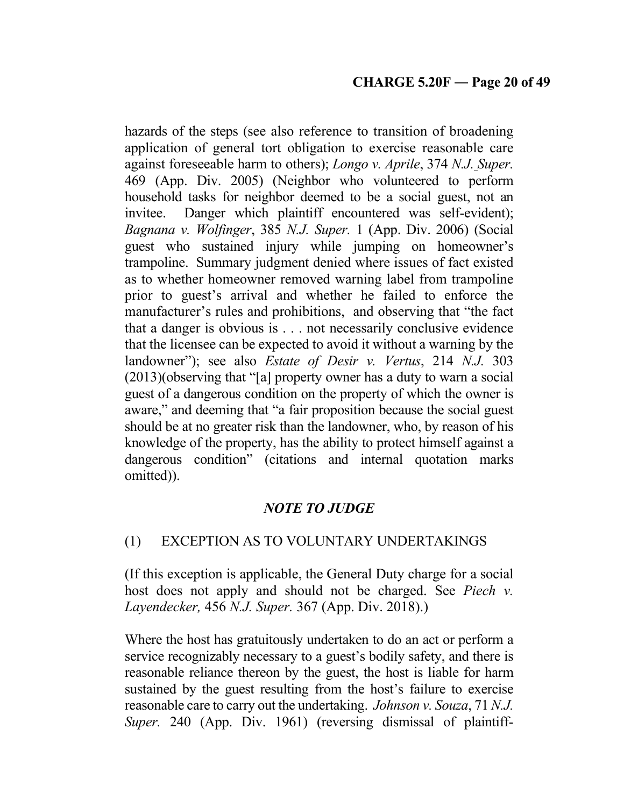hazards of the steps (see also reference to transition of broadening application of general tort obligation to exercise reasonable care against foreseeable harm to others); *Longo v. Aprile*, 374 *N.J. Super.* -469 (App. Div. 2005) (Neighbor who volunteered to perform household tasks for neighbor deemed to be a social guest, not an invitee. Danger which plaintiff encountered was self-evident); *Bagnana v. Wolfinger*, 385 *N.J. Super.* 1 (App. Div. 2006) (Social guest who sustained injury while jumping on homeowner's trampoline. Summary judgment denied where issues of fact existed as to whether homeowner removed warning label from trampoline prior to guest's arrival and whether he failed to enforce the manufacturer's rules and prohibitions, and observing that "the fact that a danger is obvious is . . . not necessarily conclusive evidence that the licensee can be expected to avoid it without a warning by the landowner"); see also *Estate of Desir v. Vertus*, 214 *N.J.* 303 (2013)(observing that "[a] property owner has a duty to warn a social guest of a dangerous condition on the property of which the owner is aware," and deeming that "a fair proposition because the social guest should be at no greater risk than the landowner, who, by reason of his knowledge of the property, has the ability to protect himself against a dangerous condition" (citations and internal quotation marks omitted)).

# *NOTE TO JUDGE*

# (1) EXCEPTION AS TO VOLUNTARY UNDERTAKINGS

(If this exception is applicable, the General Duty charge for a social host does not apply and should not be charged. See *Piech v. Layendecker,* 456 *N.J. Super.* 367 (App. Div. 2018).)

Where the host has gratuitously undertaken to do an act or perform a service recognizably necessary to a guest's bodily safety, and there is reasonable reliance thereon by the guest, the host is liable for harm sustained by the guest resulting from the host's failure to exercise reasonable care to carry out the undertaking. *Johnson v. Souza*, 71 *N.J. Super.* 240 (App. Div. 1961) (reversing dismissal of plaintiff-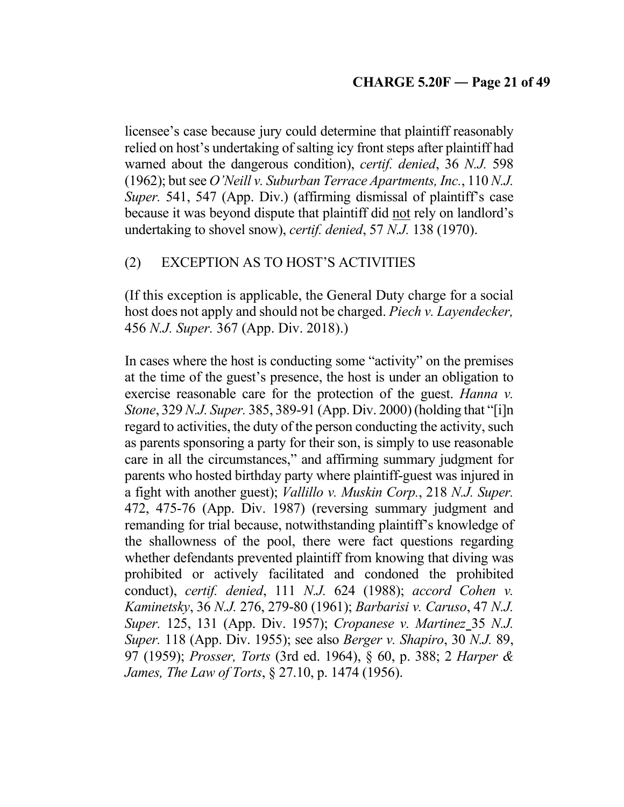licensee's case because jury could determine that plaintiff reasonably relied on host's undertaking of salting icy front steps after plaintiff had warned about the dangerous condition), *certif. denied*, 36 *N.J.* 598 (1962); but see *O'Neill v. Suburban Terrace Apartments, Inc.*, 110 *N.J. Super.* 541, 547 (App. Div.) (affirming dismissal of plaintiff's case because it was beyond dispute that plaintiff did not rely on landlord's undertaking to shovel snow), *certif. denied*, 57 *N.J.* 138 (1970).

# (2) EXCEPTION AS TO HOST'S ACTIVITIES

(If this exception is applicable, the General Duty charge for a social host does not apply and should not be charged. *Piech v. Layendecker,* 456 *N.J. Super.* 367 (App. Div. 2018).)

In cases where the host is conducting some "activity" on the premises at the time of the guest's presence, the host is under an obligation to exercise reasonable care for the protection of the guest. *Hanna v. Stone*, 329 *N.J. Super.* 385, 389-91 (App. Div. 2000) (holding that "[i]n regard to activities, the duty of the person conducting the activity, such as parents sponsoring a party for their son, is simply to use reasonable care in all the circumstances," and affirming summary judgment for parents who hosted birthday party where plaintiff-guest was injured in a fight with another guest); *Vallillo v. Muskin Corp.*, 218 *N.J. Super.* 472, 475-76 (App. Div. 1987) (reversing summary judgment and remanding for trial because, notwithstanding plaintiff's knowledge of the shallowness of the pool, there were fact questions regarding whether defendants prevented plaintiff from knowing that diving was prohibited or actively facilitated and condoned the prohibited conduct), *certif. denied*, 111 *N.J.* 624 (1988); *accord Cohen v. Kaminetsky*, 36 *N.J.* 276, 279-80 (1961); *Barbarisi v. Caruso*, 47 *N.J. Super.* 125, 131 (App. Div. 1957); *Cropanese v. Martinez* 35 *N.J. Super.* 118 (App. Div. 1955); see also *Berger v. Shapiro*, 30 *N.J.* 89, 97 (1959); *Prosser, Torts* (3rd ed. 1964), § 60, p. 388; 2 *Harper & James, The Law of Torts*, § 27.10, p. 1474 (1956).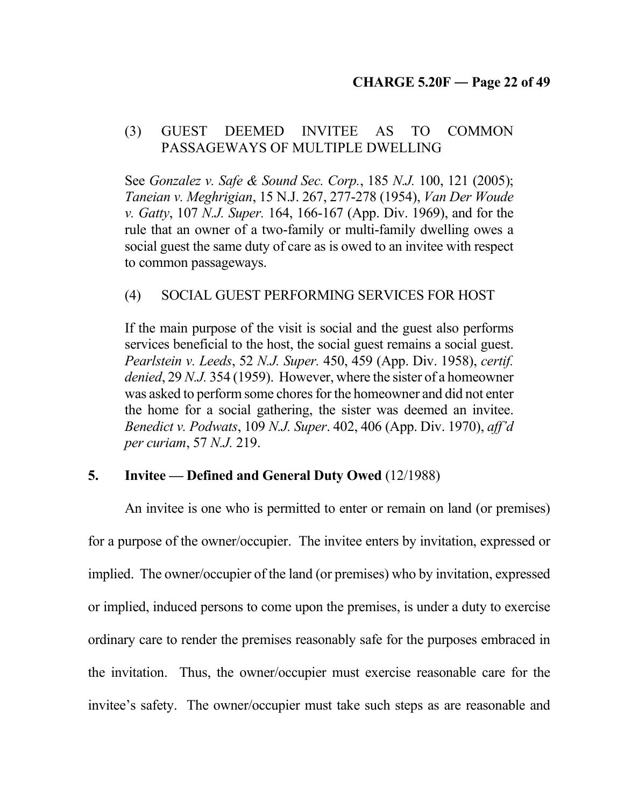# (3) GUEST DEEMED INVITEE AS TO COMMON PASSAGEWAYS OF MULTIPLE DWELLING

See *Gonzalez v. Safe & Sound Sec. Corp.*, 185 *N.J.* 100, 121 (2005); *Taneian v. Meghrigian*, 15 N.J. 267, 277-278 (1954), *Van Der Woude v. Gatty*, 107 *N.J. Super.* 164, 166-167 (App. Div. 1969), and for the rule that an owner of a two-family or multi-family dwelling owes a social guest the same duty of care as is owed to an invitee with respect to common passageways.

# (4) SOCIAL GUEST PERFORMING SERVICES FOR HOST

If the main purpose of the visit is social and the guest also performs services beneficial to the host, the social guest remains a social guest. *Pearlstein v. Leeds*, 52 *N.J. Super.* 450, 459 (App. Div. 1958), *certif. denied*, 29 *N.J.* 354 (1959). However, where the sister of a homeowner was asked to perform some chores for the homeowner and did not enter the home for a social gathering, the sister was deemed an invitee. *Benedict v. Podwats*, 109 *N.J. Super*. 402, 406 (App. Div. 1970), *aff'd per curiam*, 57 *N.J.* 219.

# **5. Invitee — Defined and General Duty Owed** (12/1988)

An invitee is one who is permitted to enter or remain on land (or premises) for a purpose of the owner/occupier. The invitee enters by invitation, expressed or implied. The owner/occupier of the land (or premises) who by invitation, expressed or implied, induced persons to come upon the premises, is under a duty to exercise ordinary care to render the premises reasonably safe for the purposes embraced in the invitation. Thus, the owner/occupier must exercise reasonable care for the invitee's safety. The owner/occupier must take such steps as are reasonable and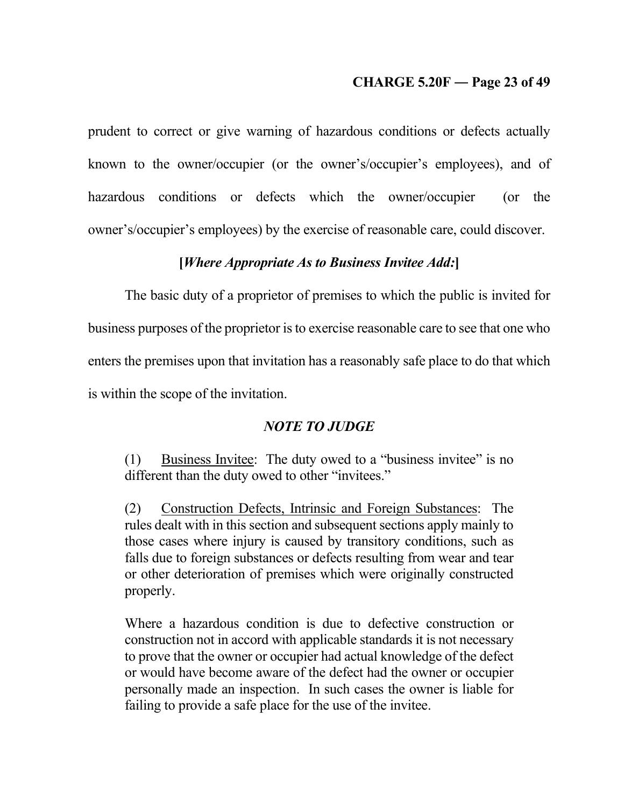# **CHARGE 5.20F ― Page 23 of 49**

prudent to correct or give warning of hazardous conditions or defects actually known to the owner/occupier (or the owner's/occupier's employees), and of hazardous conditions or defects which the owner/occupier (or the owner's/occupier's employees) by the exercise of reasonable care, could discover.

## **[***Where Appropriate As to Business Invitee Add:***]**

The basic duty of a proprietor of premises to which the public is invited for business purposes of the proprietor is to exercise reasonable care to see that one who enters the premises upon that invitation has a reasonably safe place to do that which is within the scope of the invitation.

# *NOTE TO JUDGE*

(1) Business Invitee: The duty owed to a "business invitee" is no different than the duty owed to other "invitees."

(2) Construction Defects, Intrinsic and Foreign Substances: The rules dealt with in this section and subsequent sections apply mainly to those cases where injury is caused by transitory conditions, such as falls due to foreign substances or defects resulting from wear and tear or other deterioration of premises which were originally constructed properly.

Where a hazardous condition is due to defective construction or construction not in accord with applicable standards it is not necessary to prove that the owner or occupier had actual knowledge of the defect or would have become aware of the defect had the owner or occupier personally made an inspection. In such cases the owner is liable for failing to provide a safe place for the use of the invitee.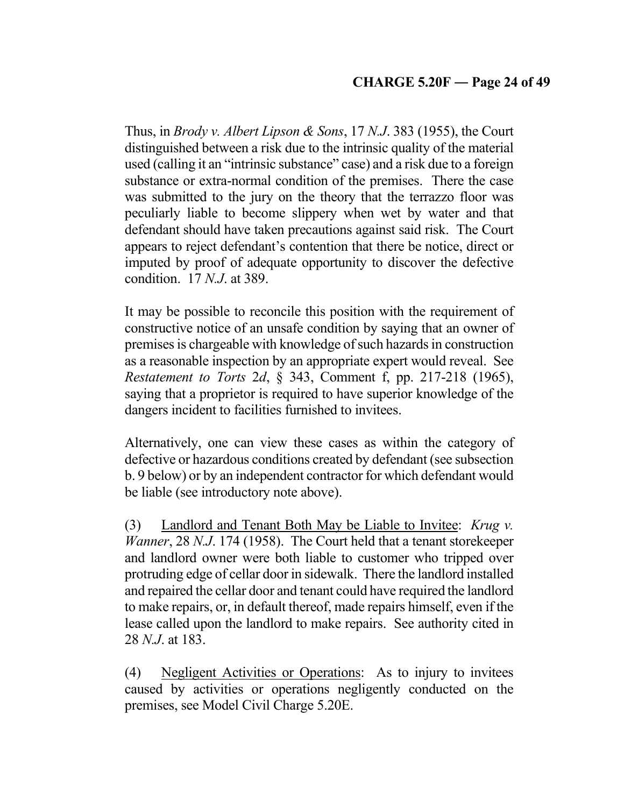Thus, in *Brody v. Albert Lipson & Sons*, 17 *N.J*. 383 (1955), the Court distinguished between a risk due to the intrinsic quality of the material used (calling it an "intrinsic substance" case) and a risk due to a foreign substance or extra-normal condition of the premises. There the case was submitted to the jury on the theory that the terrazzo floor was peculiarly liable to become slippery when wet by water and that defendant should have taken precautions against said risk. The Court appears to reject defendant's contention that there be notice, direct or imputed by proof of adequate opportunity to discover the defective condition. 17 *N.J*. at 389.

It may be possible to reconcile this position with the requirement of constructive notice of an unsafe condition by saying that an owner of premises is chargeable with knowledge of such hazards in construction as a reasonable inspection by an appropriate expert would reveal. See *Restatement to Torts* 2*d*, § 343, Comment f, pp. 217-218 (1965), saying that a proprietor is required to have superior knowledge of the dangers incident to facilities furnished to invitees.

Alternatively, one can view these cases as within the category of defective or hazardous conditions created by defendant (see subsection b. 9 below) or by an independent contractor for which defendant would be liable (see introductory note above).

(3) Landlord and Tenant Both May be Liable to Invitee: *Krug v. Wanner*, 28 *N.J*. 174 (1958). The Court held that a tenant storekeeper and landlord owner were both liable to customer who tripped over protruding edge of cellar door in sidewalk. There the landlord installed and repaired the cellar door and tenant could have required the landlord to make repairs, or, in default thereof, made repairs himself, even if the lease called upon the landlord to make repairs. See authority cited in 28 *N.J*. at 183.

(4) Negligent Activities or Operations: As to injury to invitees caused by activities or operations negligently conducted on the premises, see Model Civil Charge 5.20E.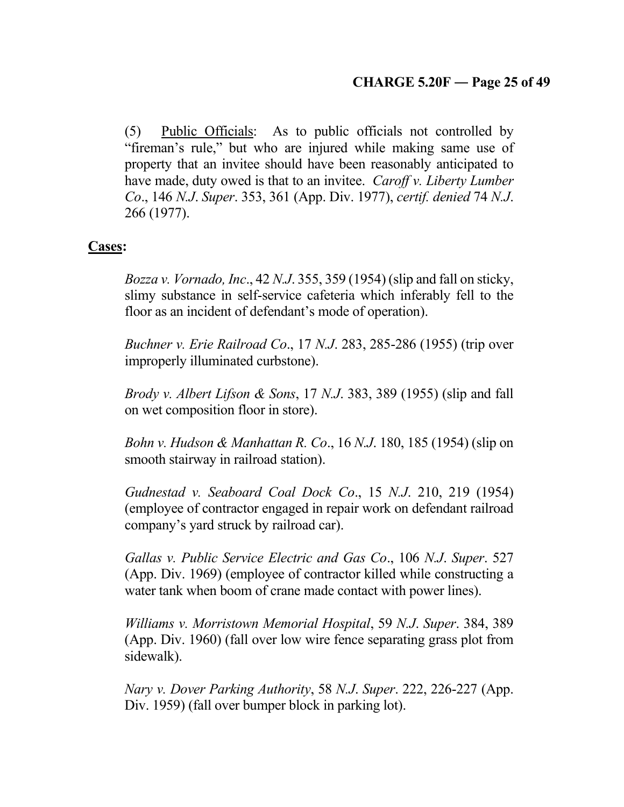(5) Public Officials: As to public officials not controlled by "fireman's rule," but who are injured while making same use of property that an invitee should have been reasonably anticipated to have made, duty owed is that to an invitee. *Caroff v. Liberty Lumber Co*., 146 *N.J*. *Super*. 353, 361 (App. Div. 1977), *certif. denied* 74 *N.J*. 266 (1977).

# **Cases:**

*Bozza v. Vornado, Inc*., 42 *N.J*. 355, 359 (1954) (slip and fall on sticky, slimy substance in self-service cafeteria which inferably fell to the floor as an incident of defendant's mode of operation).

*Buchner v. Erie Railroad Co*., 17 *N.J*. 283, 285-286 (1955) (trip over improperly illuminated curbstone).

*Brody v. Albert Lifson & Sons*, 17 *N.J*. 383, 389 (1955) (slip and fall on wet composition floor in store).

*Bohn v. Hudson & Manhattan R. Co*., 16 *N.J*. 180, 185 (1954) (slip on smooth stairway in railroad station).

*Gudnestad v. Seaboard Coal Dock Co*., 15 *N.J*. 210, 219 (1954) (employee of contractor engaged in repair work on defendant railroad company's yard struck by railroad car).

*Gallas v. Public Service Electric and Gas Co*., 106 *N.J*. *Super*. 527 (App. Div. 1969) (employee of contractor killed while constructing a water tank when boom of crane made contact with power lines).

*Williams v. Morristown Memorial Hospital*, 59 *N.J*. *Super*. 384, 389 (App. Div. 1960) (fall over low wire fence separating grass plot from sidewalk).

*Nary v. Dover Parking Authority*, 58 *N.J*. *Super*. 222, 226-227 (App. Div. 1959) (fall over bumper block in parking lot).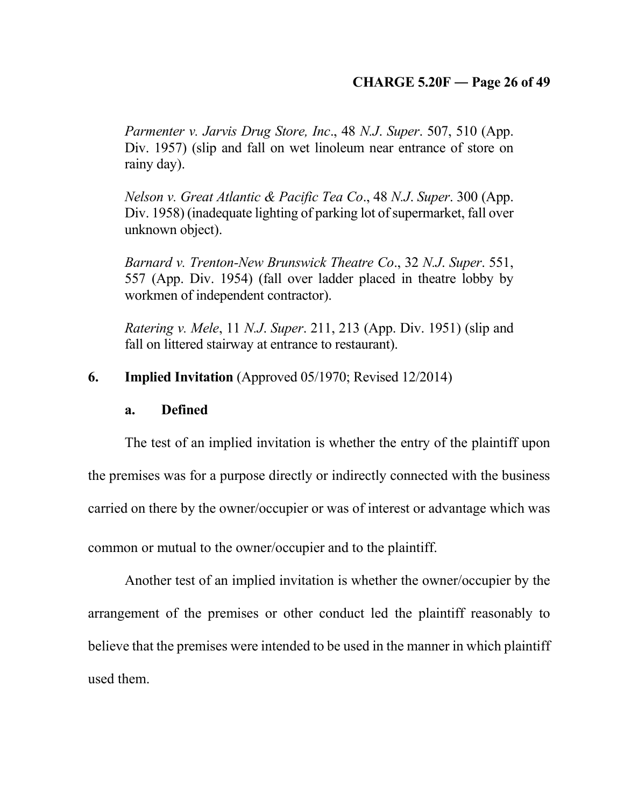# **CHARGE 5.20F ― Page 26 of 49**

*Parmenter v. Jarvis Drug Store, Inc*., 48 *N.J*. *Super*. 507, 510 (App. Div. 1957) (slip and fall on wet linoleum near entrance of store on rainy day).

*Nelson v. Great Atlantic & Pacific Tea Co*., 48 *N.J*. *Super*. 300 (App. Div. 1958) (inadequate lighting of parking lot of supermarket, fall over unknown object).

*Barnard v. Trenton-New Brunswick Theatre Co*., 32 *N.J*. *Super*. 551, 557 (App. Div. 1954) (fall over ladder placed in theatre lobby by workmen of independent contractor).

*Ratering v. Mele*, 11 *N.J*. *Super*. 211, 213 (App. Div. 1951) (slip and fall on littered stairway at entrance to restaurant).

**6. Implied Invitation** (Approved 05/1970; Revised 12/2014)

### **a. Defined**

The test of an implied invitation is whether the entry of the plaintiff upon the premises was for a purpose directly or indirectly connected with the business carried on there by the owner/occupier or was of interest or advantage which was common or mutual to the owner/occupier and to the plaintiff.

Another test of an implied invitation is whether the owner/occupier by the arrangement of the premises or other conduct led the plaintiff reasonably to believe that the premises were intended to be used in the manner in which plaintiff used them.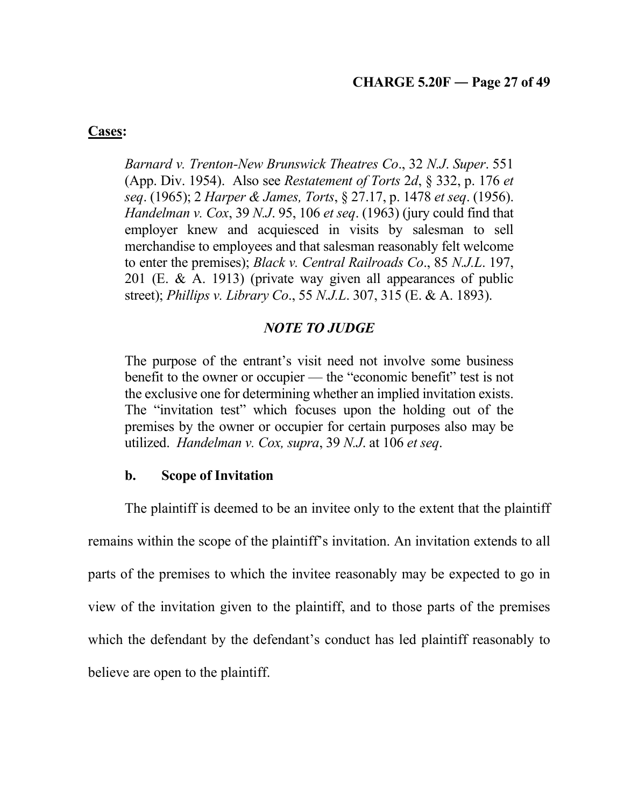**Cases:**

*Barnard v. Trenton-New Brunswick Theatres Co*., 32 *N.J*. *Super*. 551 (App. Div. 1954). Also see *Restatement of Torts* 2*d*, § 332, p. 176 *et seq*. (1965); 2 *Harper & James, Torts*, § 27.17, p. 1478 *et seq*. (1956). *Handelman v. Cox*, 39 *N.J*. 95, 106 *et seq*. (1963) (jury could find that employer knew and acquiesced in visits by salesman to sell merchandise to employees and that salesman reasonably felt welcome to enter the premises); *Black v. Central Railroads Co*., 85 *N.J.L*. 197, 201 (E. & A. 1913) (private way given all appearances of public street); *Phillips v. Library Co*., 55 *N.J.L*. 307, 315 (E. & A. 1893).

# *NOTE TO JUDGE*

The purpose of the entrant's visit need not involve some business benefit to the owner or occupier — the "economic benefit" test is not the exclusive one for determining whether an implied invitation exists. The "invitation test" which focuses upon the holding out of the premises by the owner or occupier for certain purposes also may be utilized. *Handelman v. Cox, supra*, 39 *N.J*. at 106 *et seq*.

## **b. Scope of Invitation**

The plaintiff is deemed to be an invitee only to the extent that the plaintiff remains within the scope of the plaintiff's invitation. An invitation extends to all parts of the premises to which the invitee reasonably may be expected to go in view of the invitation given to the plaintiff, and to those parts of the premises which the defendant by the defendant's conduct has led plaintiff reasonably to believe are open to the plaintiff.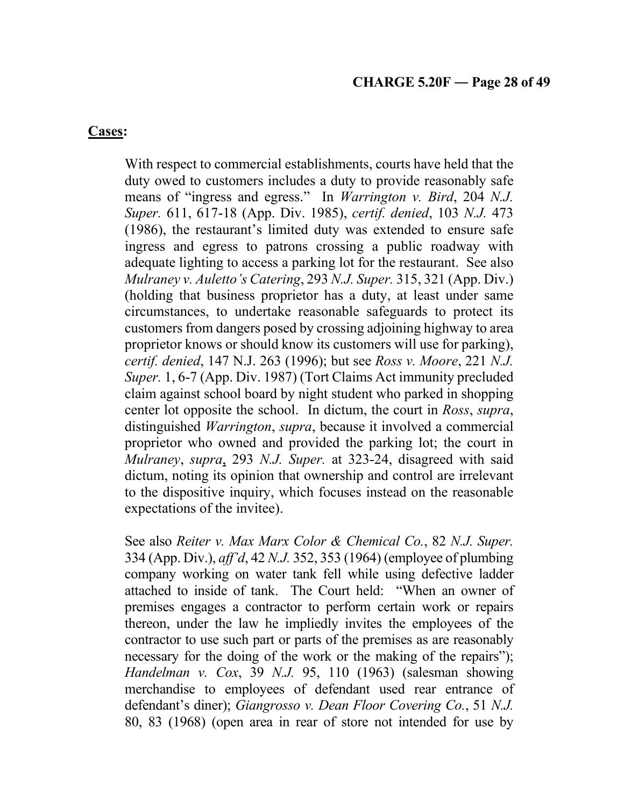## **Cases:**

With respect to commercial establishments, courts have held that the duty owed to customers includes a duty to provide reasonably safe means of "ingress and egress." In *Warrington v. Bird*, 204 *N.J. Super.* 611, 617-18 (App. Div. 1985), *certif. denied*, 103 *N.J.* 473 (1986), the restaurant's limited duty was extended to ensure safe ingress and egress to patrons crossing a public roadway with adequate lighting to access a parking lot for the restaurant. See also *Mulraney v. Auletto's Catering*, 293 *N.J. Super.* 315, 321 (App. Div.) (holding that business proprietor has a duty, at least under same circumstances, to undertake reasonable safeguards to protect its customers from dangers posed by crossing adjoining highway to area proprietor knows or should know its customers will use for parking), *certif. denied*, 147 N.J. 263 (1996); but see *Ross v. Moore*, 221 *N.J. Super.* 1, 6-7 (App. Div. 1987) (Tort Claims Act immunity precluded claim against school board by night student who parked in shopping center lot opposite the school. In dictum, the court in *Ross*, *supra*, distinguished *Warrington*, *supra*, because it involved a commercial proprietor who owned and provided the parking lot; the court in *Mulraney*, *supra*, 293 *N.J. Super.* at 323-24, disagreed with said dictum, noting its opinion that ownership and control are irrelevant to the dispositive inquiry, which focuses instead on the reasonable expectations of the invitee).

See also *Reiter v. Max Marx Color & Chemical Co.*, 82 *N.J. Super.* 334 (App. Div.), *aff'd*, 42 *N.J.* 352, 353 (1964) (employee of plumbing company working on water tank fell while using defective ladder attached to inside of tank. The Court held: "When an owner of premises engages a contractor to perform certain work or repairs thereon, under the law he impliedly invites the employees of the contractor to use such part or parts of the premises as are reasonably necessary for the doing of the work or the making of the repairs"); *Handelman v. Cox*, 39 *N.J.* 95, 110 (1963) (salesman showing merchandise to employees of defendant used rear entrance of defendant's diner); *Giangrosso v. Dean Floor Covering Co.*, 51 *N.J.* 80, 83 (1968) (open area in rear of store not intended for use by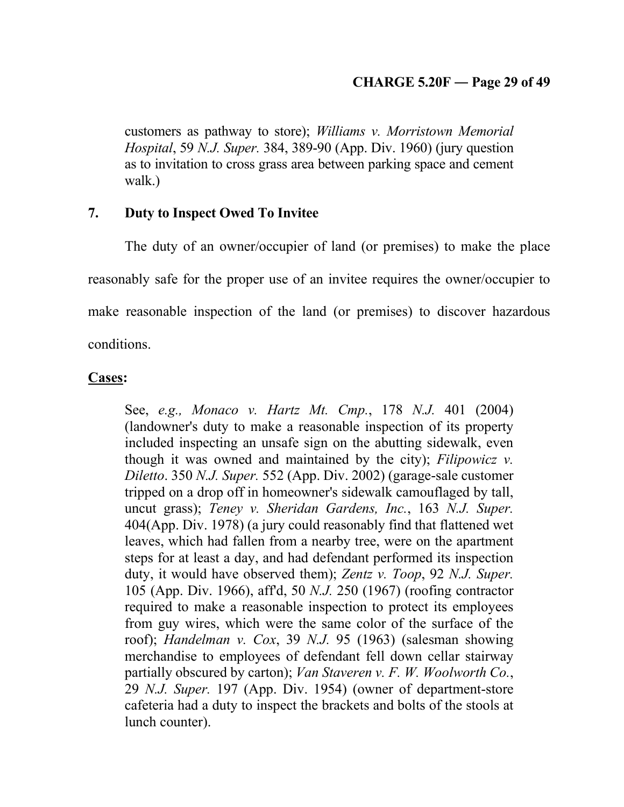## **CHARGE 5.20F ― Page 29 of 49**

customers as pathway to store); *Williams v. Morristown Memorial Hospital*, 59 *N.J. Super.* 384, 389-90 (App. Div. 1960) (jury question as to invitation to cross grass area between parking space and cement walk.)

## **7. Duty to Inspect Owed To Invitee**

The duty of an owner/occupier of land (or premises) to make the place reasonably safe for the proper use of an invitee requires the owner/occupier to make reasonable inspection of the land (or premises) to discover hazardous conditions.

## **Cases:**

See, *e.g., Monaco v. Hartz Mt. Cmp.*, 178 *N.J.* 401 (2004) (landowner's duty to make a reasonable inspection of its property included inspecting an unsafe sign on the abutting sidewalk, even though it was owned and maintained by the city); *Filipowicz v. Diletto*. 350 *N.J. Super.* 552 (App. Div. 2002) (garage-sale customer tripped on a drop off in homeowner's sidewalk camouflaged by tall, uncut grass); *Teney v. Sheridan Gardens, Inc.*, 163 *N.J. Super.* 404(App. Div. 1978) (a jury could reasonably find that flattened wet leaves, which had fallen from a nearby tree, were on the apartment steps for at least a day, and had defendant performed its inspection duty, it would have observed them); *Zentz v. Toop*, 92 *N.J. Super.* 105 (App. Div. 1966), aff'd, 50 *N.J.* 250 (1967) (roofing contractor required to make a reasonable inspection to protect its employees from guy wires, which were the same color of the surface of the roof); *Handelman v. Cox*, 39 *N.J.* 95 (1963) (salesman showing merchandise to employees of defendant fell down cellar stairway partially obscured by carton); *Van Staveren v. F. W. Woolworth Co.*, 29 *N.J. Super.* 197 (App. Div. 1954) (owner of department-store cafeteria had a duty to inspect the brackets and bolts of the stools at lunch counter).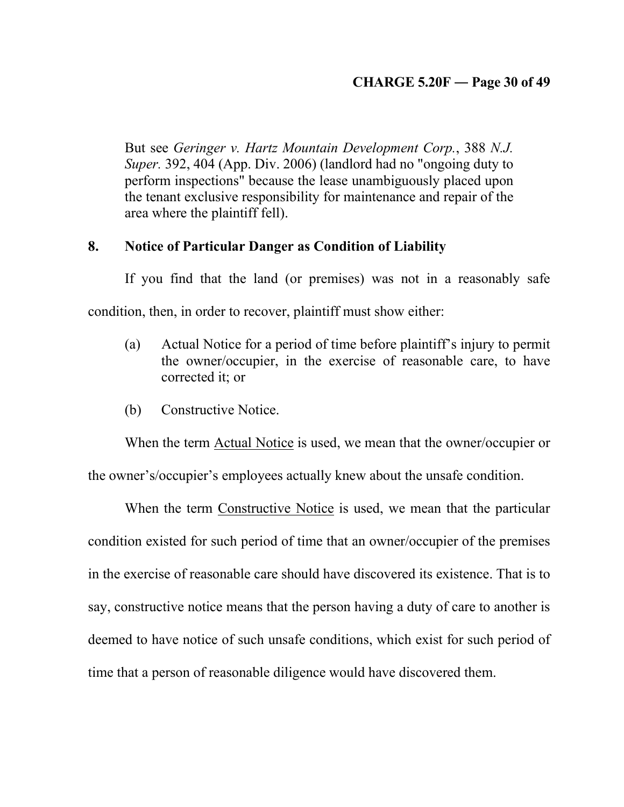# **CHARGE 5.20F ― Page 30 of 49**

But see *Geringer v. Hartz Mountain Development Corp.*, 388 *N.J. Super.* 392, 404 (App. Div. 2006) (landlord had no "ongoing duty to perform inspections" because the lease unambiguously placed upon the tenant exclusive responsibility for maintenance and repair of the area where the plaintiff fell).

## **8. Notice of Particular Danger as Condition of Liability**

If you find that the land (or premises) was not in a reasonably safe condition, then, in order to recover, plaintiff must show either:

- (a) Actual Notice for a period of time before plaintiff's injury to permit the owner/occupier, in the exercise of reasonable care, to have corrected it; or
- (b) Constructive Notice.

When the term Actual Notice is used, we mean that the owner/occupier or

the owner's/occupier's employees actually knew about the unsafe condition.

When the term Constructive Notice is used, we mean that the particular condition existed for such period of time that an owner/occupier of the premises in the exercise of reasonable care should have discovered its existence. That is to say, constructive notice means that the person having a duty of care to another is deemed to have notice of such unsafe conditions, which exist for such period of time that a person of reasonable diligence would have discovered them.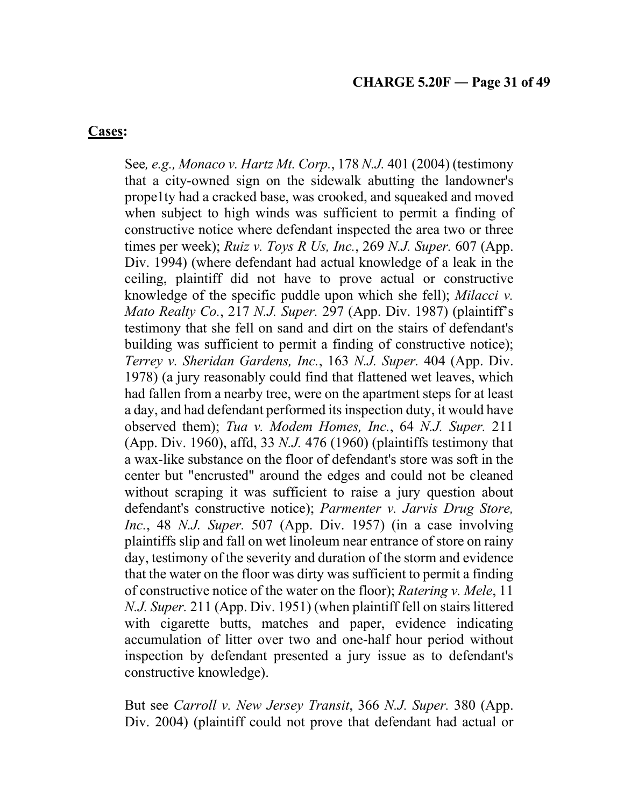## **Cases:**

See*, e.g., Monaco v. Hartz Mt. Corp.*, 178 *N.J.* 401 (2004) (testimony that a city-owned sign on the sidewalk abutting the landowner's prope1ty had a cracked base, was crooked, and squeaked and moved when subject to high winds was sufficient to permit a finding of constructive notice where defendant inspected the area two or three times per week); *Ruiz v. Toys R Us, Inc.*, 269 *N.J. Super.* 607 (App. Div. 1994) (where defendant had actual knowledge of a leak in the ceiling, plaintiff did not have to prove actual or constructive knowledge of the specific puddle upon which she fell); *Milacci v. Mato Realty Co.*, 217 *N.J. Super.* 297 (App. Div. 1987) (plaintiff's testimony that she fell on sand and dirt on the stairs of defendant's building was sufficient to permit a finding of constructive notice); *Terrey v. Sheridan Gardens, Inc.*, 163 *N.J. Super.* 404 (App. Div. 1978) (a jury reasonably could find that flattened wet leaves, which had fallen from a nearby tree, were on the apartment steps for at least a day, and had defendant performed its inspection duty, it would have observed them); *Tua v. Modem Homes, Inc.*, 64 *N.J. Super.* 211 (App. Div. 1960), affd, 33 *N.J.* 476 (1960) (plaintiffs testimony that a wax-like substance on the floor of defendant's store was soft in the center but "encrusted" around the edges and could not be cleaned without scraping it was sufficient to raise a jury question about defendant's constructive notice); *Parmenter v. Jarvis Drug Store, Inc.*, 48 *N.J. Super.* 507 (App. Div. 1957) (in a case involving plaintiffs slip and fall on wet linoleum near entrance of store on rainy day, testimony of the severity and duration of the storm and evidence that the water on the floor was dirty was sufficient to permit a finding of constructive notice of the water on the floor); *Ratering v. Mele*, 11 *N.J. Super.* 211 (App. Div. 1951) (when plaintiff fell on stairs littered with cigarette butts, matches and paper, evidence indicating accumulation of litter over two and one-half hour period without inspection by defendant presented a jury issue as to defendant's constructive knowledge).

But see *Carroll v. New Jersey Transit*, 366 *N.J. Super.* 380 (App. Div. 2004) (plaintiff could not prove that defendant had actual or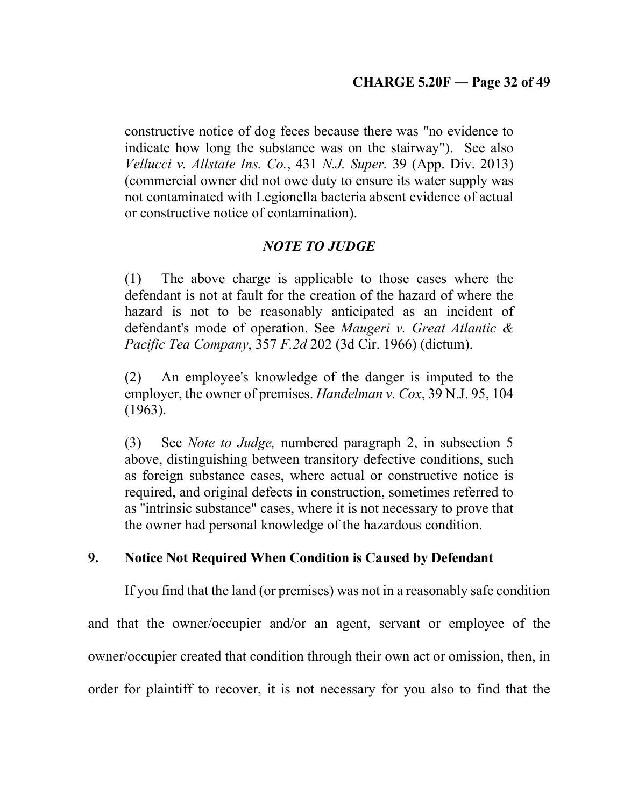constructive notice of dog feces because there was "no evidence to indicate how long the substance was on the stairway"). See also *Vellucci v. Allstate Ins. Co.*, 431 *N.J. Super.* 39 (App. Div. 2013) (commercial owner did not owe duty to ensure its water supply was not contaminated with Legionella bacteria absent evidence of actual or constructive notice of contamination).

# *NOTE TO JUDGE*

(1) The above charge is applicable to those cases where the defendant is not at fault for the creation of the hazard of where the hazard is not to be reasonably anticipated as an incident of defendant's mode of operation. See *Maugeri v. Great Atlantic & Pacific Tea Company*, 357 *F.2d* 202 (3d Cir. 1966) (dictum).

(2) An employee's knowledge of the danger is imputed to the employer, the owner of premises. *Handelman v. Cox*, 39 N.J. 95, 104 (1963).

(3) See *Note to Judge,* numbered paragraph 2, in subsection 5 above, distinguishing between transitory defective conditions, such as foreign substance cases, where actual or constructive notice is required, and original defects in construction, sometimes referred to as ''intrinsic substance" cases, where it is not necessary to prove that the owner had personal knowledge of the hazardous condition.

## **9. Notice Not Required When Condition is Caused by Defendant**

If you find that the land (or premises) was not in a reasonably safe condition and that the owner/occupier and/or an agent, servant or employee of the owner/occupier created that condition through their own act or omission, then, in order for plaintiff to recover, it is not necessary for you also to find that the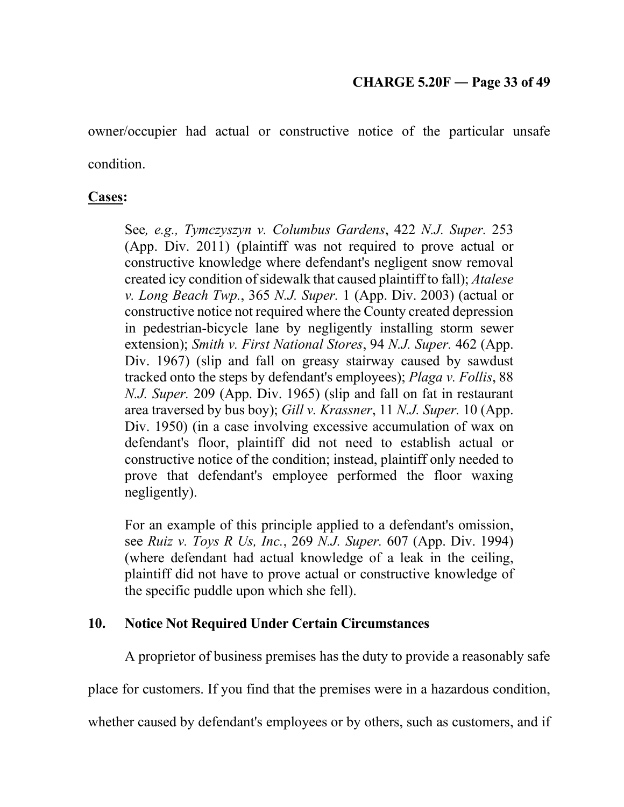owner/occupier had actual or constructive notice of the particular unsafe condition.

# **Cases:**

See*, e.g., Tymczyszyn v. Columbus Gardens*, 422 *N.J. Super.* 253 (App. Div. 2011) (plaintiff was not required to prove actual or constructive knowledge where defendant's negligent snow removal created icy condition of sidewalk that caused plaintiff to fall); *Atalese v. Long Beach Twp.*, 365 *N.J. Super.* 1 (App. Div. 2003) (actual or constructive notice not required where the County created depression in pedestrian-bicycle lane by negligently installing storm sewer extension); *Smith v. First National Stores*, 94 *N.J. Super.* 462 (App. Div. 1967) (slip and fall on greasy stairway caused by sawdust tracked onto the steps by defendant's employees); *Plaga v. Follis*, 88 *N.J. Super.* 209 (App. Div. 1965) (slip and fall on fat in restaurant area traversed by bus boy); *Gill v. Krassner*, 11 *N.J. Super.* 10 (App. Div. 1950) (in a case involving excessive accumulation of wax on defendant's floor, plaintiff did not need to establish actual or constructive notice of the condition; instead, plaintiff only needed to prove that defendant's employee performed the floor waxing negligently).

For an example of this principle applied to a defendant's omission, see *Ruiz v. Toys R Us, Inc.*, 269 *N.J. Super.* 607 (App. Div. 1994) (where defendant had actual knowledge of a leak in the ceiling, plaintiff did not have to prove actual or constructive knowledge of the specific puddle upon which she fell).

# **10. Notice Not Required Under Certain Circumstances**

A proprietor of business premises has the duty to provide a reasonably safe

place for customers. If you find that the premises were in a hazardous condition,

whether caused by defendant's employees or by others, such as customers, and if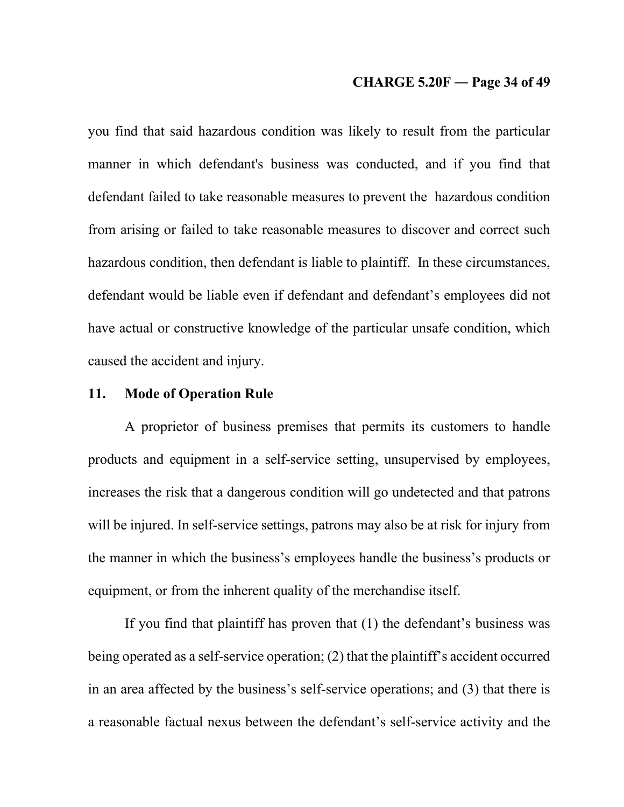## **CHARGE 5.20F ― Page 34 of 49**

you find that said hazardous condition was likely to result from the particular manner in which defendant's business was conducted, and if you find that defendant failed to take reasonable measures to prevent the hazardous condition from arising or failed to take reasonable measures to discover and correct such hazardous condition, then defendant is liable to plaintiff. In these circumstances, defendant would be liable even if defendant and defendant's employees did not have actual or constructive knowledge of the particular unsafe condition, which caused the accident and injury.

## **11. Mode of Operation Rule**

A proprietor of business premises that permits its customers to handle products and equipment in a self-service setting, unsupervised by employees, increases the risk that a dangerous condition will go undetected and that patrons will be injured. In self-service settings, patrons may also be at risk for injury from the manner in which the business's employees handle the business's products or equipment, or from the inherent quality of the merchandise itself.

If you find that plaintiff has proven that (1) the defendant's business was being operated as a self-service operation; (2) that the plaintiff's accident occurred in an area affected by the business's self-service operations; and (3) that there is a reasonable factual nexus between the defendant's self-service activity and the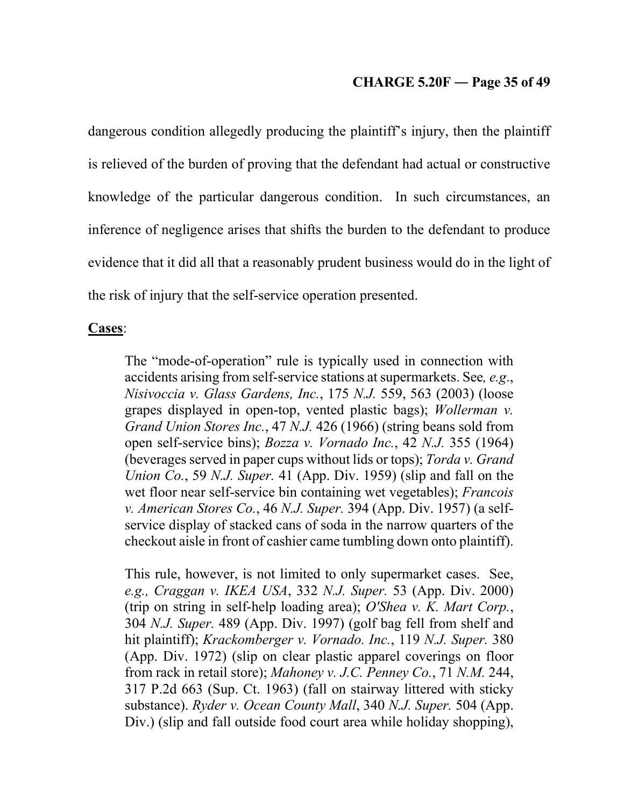## **CHARGE 5.20F ― Page 35 of 49**

dangerous condition allegedly producing the plaintiff's injury, then the plaintiff is relieved of the burden of proving that the defendant had actual or constructive knowledge of the particular dangerous condition. In such circumstances, an inference of negligence arises that shifts the burden to the defendant to produce evidence that it did all that a reasonably prudent business would do in the light of the risk of injury that the self-service operation presented.

### **Cases**:

The "mode-of-operation" rule is typically used in connection with accidents arising from self-service stations at supermarkets. See*, e.g*., *Nisivoccia v. Glass Gardens, Inc.*, 175 *N.J.* 559, 563 (2003) (loose grapes displayed in open-top, vented plastic bags); *Wollerman v. Grand Union Stores Inc.*, 47 *N.J.* 426 (1966) (string beans sold from open self-service bins); *Bozza v. Vornado Inc.*, 42 *N.J.* 355 (1964) (beverages served in paper cups without lids or tops); *Torda v. Grand Union Co.*, 59 *N.J. Super.* 41 (App. Div. 1959) (slip and fall on the wet floor near self-service bin containing wet vegetables); *Francois v. American Stores Co.*, 46 *N.J. Super.* 394 (App. Div. 1957) (a selfservice display of stacked cans of soda in the narrow quarters of the checkout aisle in front of cashier came tumbling down onto plaintiff).

This rule, however, is not limited to only supermarket cases. See, *e.g., Craggan v. IKEA USA*, 332 *N.J. Super.* 53 (App. Div. 2000) (trip on string in self-help loading area); *O'Shea v. K. Mart Corp.*, 304 *N.J. Super.* 489 (App. Div. 1997) (golf bag fell from shelf and hit plaintiff); *Krackomberger v. Vornado. Inc.*, 119 *N.J. Super.* 380 (App. Div. 1972) (slip on clear plastic apparel coverings on floor from rack in retail store); *Mahoney v. J.C. Penney Co.*, 71 *N.M.* 244, 317 P.2d 663 (Sup. Ct. 1963) (fall on stairway littered with sticky substance). *Ryder v. Ocean County Mall*, 340 *N.J. Super.* 504 (App. Div.) (slip and fall outside food court area while holiday shopping),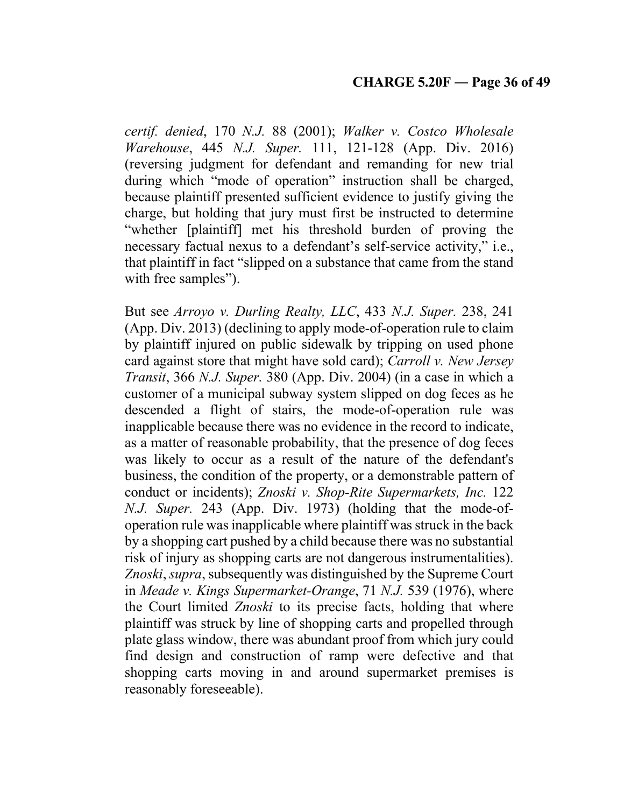*certif. denied*, 170 *N.J.* 88 (2001); *Walker v. Costco Wholesale Warehouse*, 445 *N.J. Super.* 111, 121-128 (App. Div. 2016) (reversing judgment for defendant and remanding for new trial during which "mode of operation" instruction shall be charged, because plaintiff presented sufficient evidence to justify giving the charge, but holding that jury must first be instructed to determine "whether [plaintiff] met his threshold burden of proving the necessary factual nexus to a defendant's self-service activity," i.e., that plaintiff in fact "slipped on a substance that came from the stand with free samples").

But see *Arroyo v. Durling Realty, LLC*, 433 *N.J. Super.* 238, 241 (App. Div. 2013) (declining to apply mode-of-operation rule to claim by plaintiff injured on public sidewalk by tripping on used phone card against store that might have sold card); *Carroll v. New Jersey Transit*, 366 *N.J. Super.* 380 (App. Div. 2004) (in a case in which a customer of a municipal subway system slipped on dog feces as he descended a flight of stairs, the mode-of-operation rule was inapplicable because there was no evidence in the record to indicate, as a matter of reasonable probability, that the presence of dog feces was likely to occur as a result of the nature of the defendant's business, the condition of the property, or a demonstrable pattern of conduct or incidents); *Znoski v. Shop-Rite Supermarkets, Inc.* 122 *N.J. Super.* 243 (App. Div. 1973) (holding that the mode-ofoperation rule was inapplicable where plaintiff was struck in the back by a shopping cart pushed by a child because there was no substantial risk of injury as shopping carts are not dangerous instrumentalities). *Znoski*, *supra*, subsequently was distinguished by the Supreme Court in *Meade v. Kings Supermarket-Orange*, 71 *N.J.* 539 (1976), where the Court limited *Znoski* to its precise facts, holding that where plaintiff was struck by line of shopping carts and propelled through plate glass window, there was abundant proof from which jury could find design and construction of ramp were defective and that shopping carts moving in and around supermarket premises is reasonably foreseeable).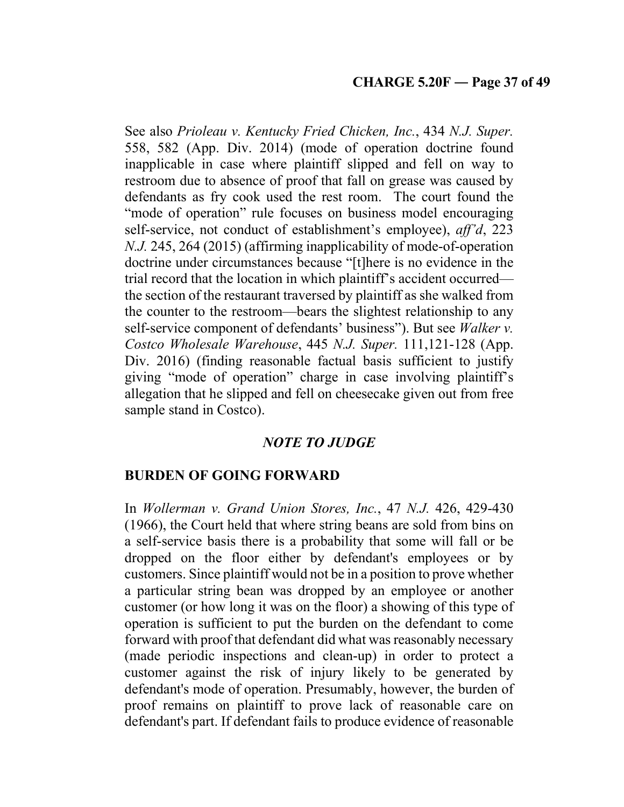See also *Prioleau v. Kentucky Fried Chicken, Inc.*, 434 *N.J. Super.* 558, 582 (App. Div. 2014) (mode of operation doctrine found inapplicable in case where plaintiff slipped and fell on way to restroom due to absence of proof that fall on grease was caused by defendants as fry cook used the rest room. The court found the "mode of operation" rule focuses on business model encouraging self-service, not conduct of establishment's employee), *aff'd*, 223 *N.J.* 245, 264 (2015) (affirming inapplicability of mode-of-operation doctrine under circumstances because "[t]here is no evidence in the trial record that the location in which plaintiff's accident occurred the section of the restaurant traversed by plaintiff as she walked from the counter to the restroom—bears the slightest relationship to any self-service component of defendants' business"). But see *Walker v. Costco Wholesale Warehouse*, 445 *N.J. Super.* 111,121-128 (App. Div. 2016) (finding reasonable factual basis sufficient to justify giving "mode of operation" charge in case involving plaintiff's allegation that he slipped and fell on cheesecake given out from free sample stand in Costco).

# *NOTE TO JUDGE*

# **BURDEN OF GOING FORWARD**

In *Wollerman v. Grand Union Stores, Inc.*, 47 *N.J.* 426, 429-430 (1966), the Court held that where string beans are sold from bins on a self-service basis there is a probability that some will fall or be dropped on the floor either by defendant's employees or by customers. Since plaintiff would not be in a position to prove whether a particular string bean was dropped by an employee or another customer (or how long it was on the floor) a showing of this type of operation is sufficient to put the burden on the defendant to come forward with proof that defendant did what was reasonably necessary (made periodic inspections and clean-up) in order to protect a customer against the risk of injury likely to be generated by defendant's mode of operation. Presumably, however, the burden of proof remains on plaintiff to prove lack of reasonable care on defendant's part. If defendant fails to produce evidence of reasonable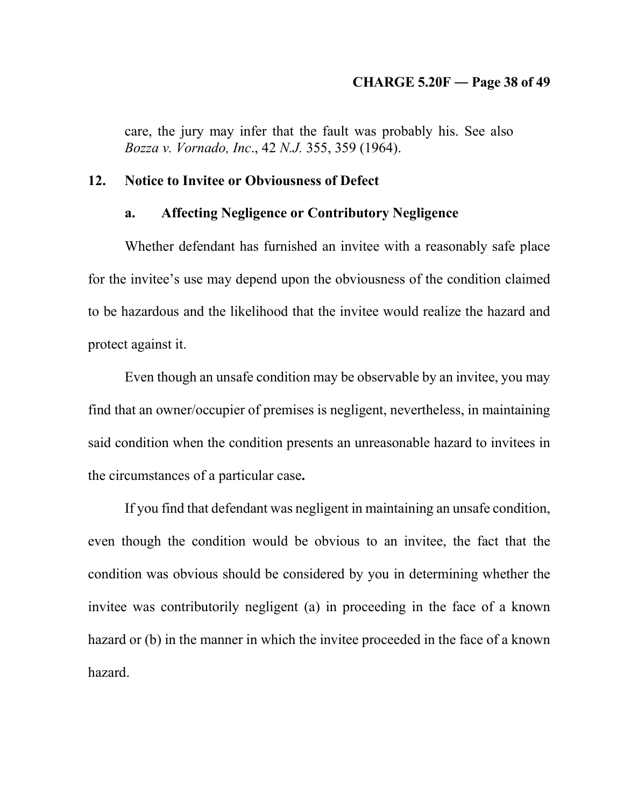#### **CHARGE 5.20F ― Page 38 of 49**

care, the jury may infer that the fault was probably his. See also *Bozza v. Vornado, Inc*., 42 *N.J.* 355, 359 (1964).

## **12. Notice to Invitee or Obviousness of Defect**

## **a. Affecting Negligence or Contributory Negligence**

Whether defendant has furnished an invitee with a reasonably safe place for the invitee's use may depend upon the obviousness of the condition claimed to be hazardous and the likelihood that the invitee would realize the hazard and protect against it.

Even though an unsafe condition may be observable by an invitee, you may find that an owner/occupier of premises is negligent, nevertheless, in maintaining said condition when the condition presents an unreasonable hazard to invitees in the circumstances of a particular case**.** 

If you find that defendant was negligent in maintaining an unsafe condition, even though the condition would be obvious to an invitee, the fact that the condition was obvious should be considered by you in determining whether the invitee was contributorily negligent (a) in proceeding in the face of a known hazard or (b) in the manner in which the invitee proceeded in the face of a known hazard.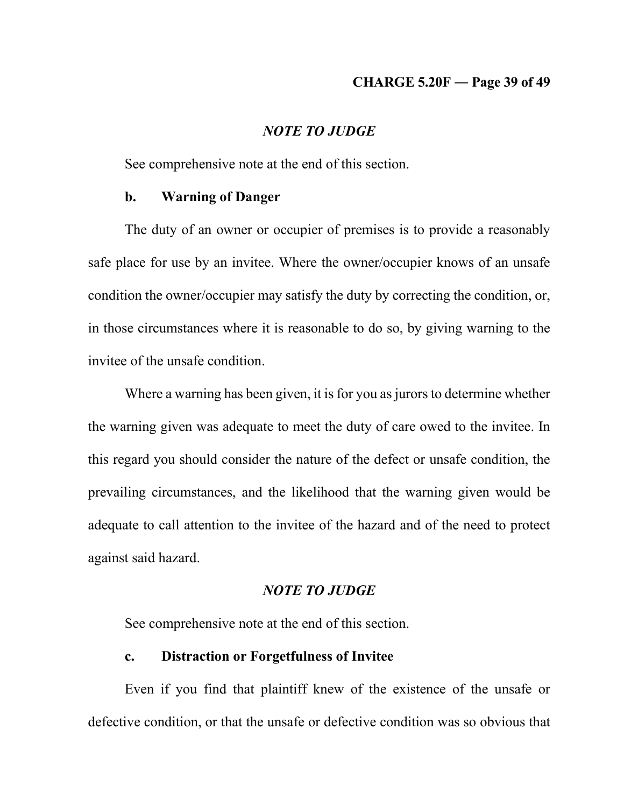## **CHARGE 5.20F ― Page 39 of 49**

### *NOTE TO JUDGE*

See comprehensive note at the end of this section.

## **b. Warning of Danger**

The duty of an owner or occupier of premises is to provide a reasonably safe place for use by an invitee. Where the owner/occupier knows of an unsafe condition the owner/occupier may satisfy the duty by correcting the condition, or, in those circumstances where it is reasonable to do so, by giving warning to the invitee of the unsafe condition.

Where a warning has been given, it is for you as jurors to determine whether the warning given was adequate to meet the duty of care owed to the invitee. In this regard you should consider the nature of the defect or unsafe condition, the prevailing circumstances, and the likelihood that the warning given would be adequate to call attention to the invitee of the hazard and of the need to protect against said hazard.

### *NOTE TO JUDGE*

See comprehensive note at the end of this section.

## **c. Distraction or Forgetfulness of Invitee**

Even if you find that plaintiff knew of the existence of the unsafe or defective condition, or that the unsafe or defective condition was so obvious that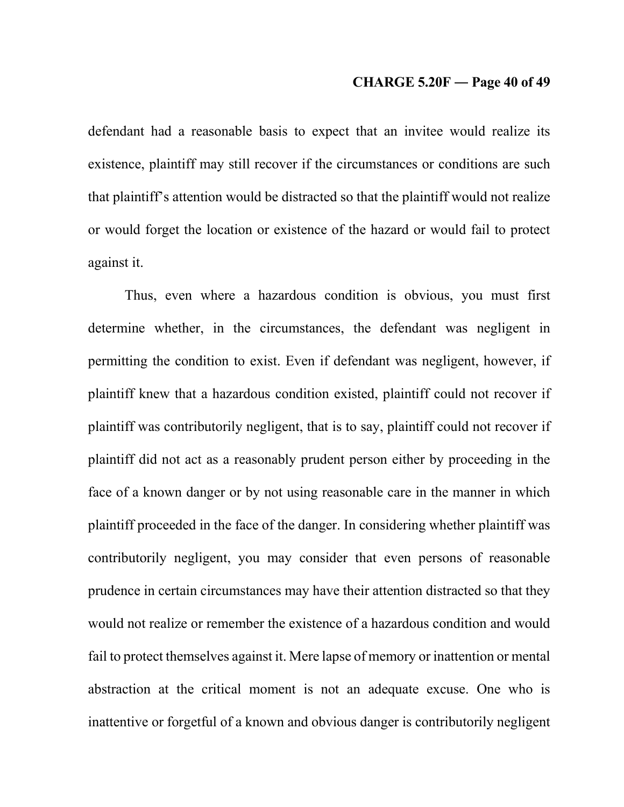### **CHARGE 5.20F ― Page 40 of 49**

defendant had a reasonable basis to expect that an invitee would realize its existence, plaintiff may still recover if the circumstances or conditions are such that plaintiff's attention would be distracted so that the plaintiff would not realize or would forget the location or existence of the hazard or would fail to protect against it.

Thus, even where a hazardous condition is obvious, you must first determine whether, in the circumstances, the defendant was negligent in permitting the condition to exist. Even if defendant was negligent, however, if plaintiff knew that a hazardous condition existed, plaintiff could not recover if plaintiff was contributorily negligent, that is to say, plaintiff could not recover if plaintiff did not act as a reasonably prudent person either by proceeding in the face of a known danger or by not using reasonable care in the manner in which plaintiff proceeded in the face of the danger. In considering whether plaintiff was contributorily negligent, you may consider that even persons of reasonable prudence in certain circumstances may have their attention distracted so that they would not realize or remember the existence of a hazardous condition and would fail to protect themselves against it. Mere lapse of memory or inattention or mental abstraction at the critical moment is not an adequate excuse. One who is inattentive or forgetful of a known and obvious danger is contributorily negligent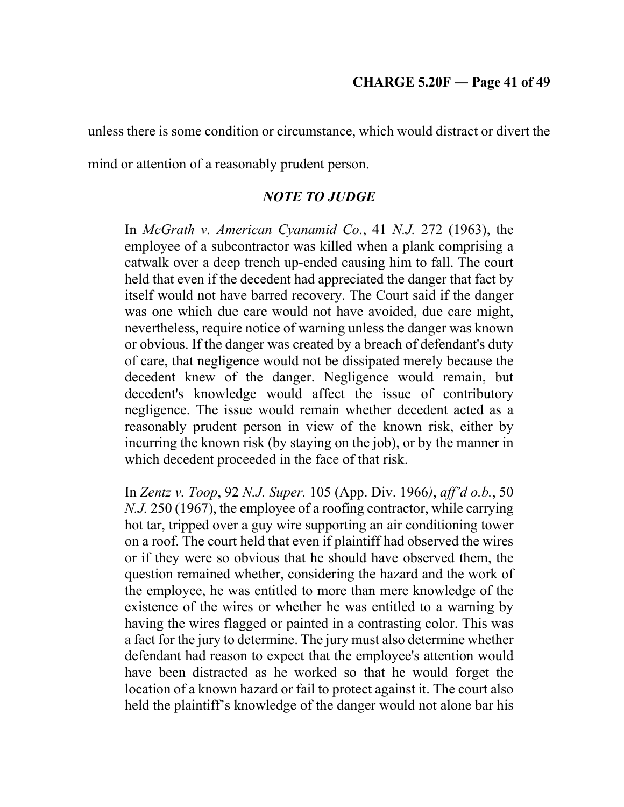unless there is some condition or circumstance, which would distract or divert the

mind or attention of a reasonably prudent person.

# *NOTE TO JUDGE*

In *McGrath v. American Cyanamid Co.*, 41 *N.J.* 272 (1963), the employee of a subcontractor was killed when a plank comprising a catwalk over a deep trench up-ended causing him to fall. The court held that even if the decedent had appreciated the danger that fact by itself would not have barred recovery. The Court said if the danger was one which due care would not have avoided, due care might, nevertheless, require notice of warning unless the danger was known or obvious. If the danger was created by a breach of defendant's duty of care, that negligence would not be dissipated merely because the decedent knew of the danger. Negligence would remain, but decedent's knowledge would affect the issue of contributory negligence. The issue would remain whether decedent acted as a reasonably prudent person in view of the known risk, either by incurring the known risk (by staying on the job), or by the manner in which decedent proceeded in the face of that risk.

In *Zentz v. Toop*, 92 *N.J. Super.* 105 (App. Div. 1966*)*, *aff'd o.b.*, 50 *N.J.* 250 (1967), the employee of a roofing contractor, while carrying hot tar, tripped over a guy wire supporting an air conditioning tower on a roof. The court held that even if plaintiff had observed the wires or if they were so obvious that he should have observed them, the question remained whether, considering the hazard and the work of the employee, he was entitled to more than mere knowledge of the existence of the wires or whether he was entitled to a warning by having the wires flagged or painted in a contrasting color. This was a fact for the jury to determine. The jury must also determine whether defendant had reason to expect that the employee's attention would have been distracted as he worked so that he would forget the location of a known hazard or fail to protect against it. The court also held the plaintiff's knowledge of the danger would not alone bar his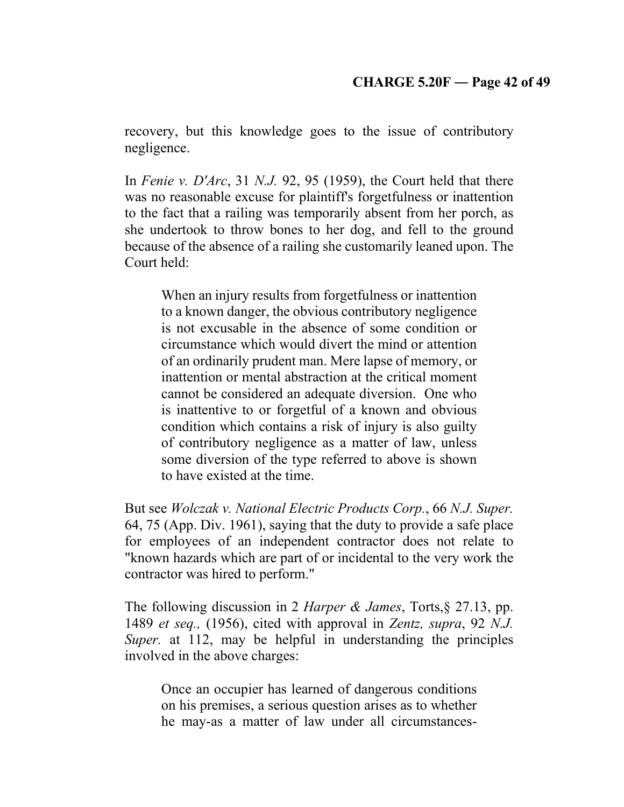recovery, but this knowledge goes to the issue of contributory negligence.

In *Fenie v. D'Arc*, 31 *N.J.* 92, 95 (1959), the Court held that there was no reasonable excuse for plaintiff's forgetfulness or inattention to the fact that a railing was temporarily absent from her porch, as she undertook to throw bones to her dog, and fell to the ground because of the absence of a railing she customarily leaned upon. The Court held:

When an injury results from forgetfulness or inattention to a known danger, the obvious contributory negligence is not excusable in the absence of some condition or circumstance which would divert the mind or attention of an ordinarily prudent man. Mere lapse of memory, or inattention or mental abstraction at the critical moment cannot be considered an adequate diversion. One who is inattentive to or forgetful of a known and obvious condition which contains a risk of injury is also guilty of contributory negligence as a matter of law, unless some diversion of the type referred to above is shown to have existed at the time.

But see *Wolczak v. National Electric Products Corp.*, 66 *N.J. Super.* 64, 75 (App. Div. 1961), saying that the duty to provide a safe place for employees of an independent contractor does not relate to "known hazards which are part of or incidental to the very work the contractor was hired to perform."

The following discussion in 2 *Harper & James*, Torts,§ 27.13, pp. 1489 *et seq.,* (1956), cited with approval in *Zentz, supra*, 92 *N.J. Super.* at 112, may be helpful in understanding the principles involved in the above charges:

Once an occupier has learned of dangerous conditions on his premises, a serious question arises as to whether he may-as a matter of law under all circumstances-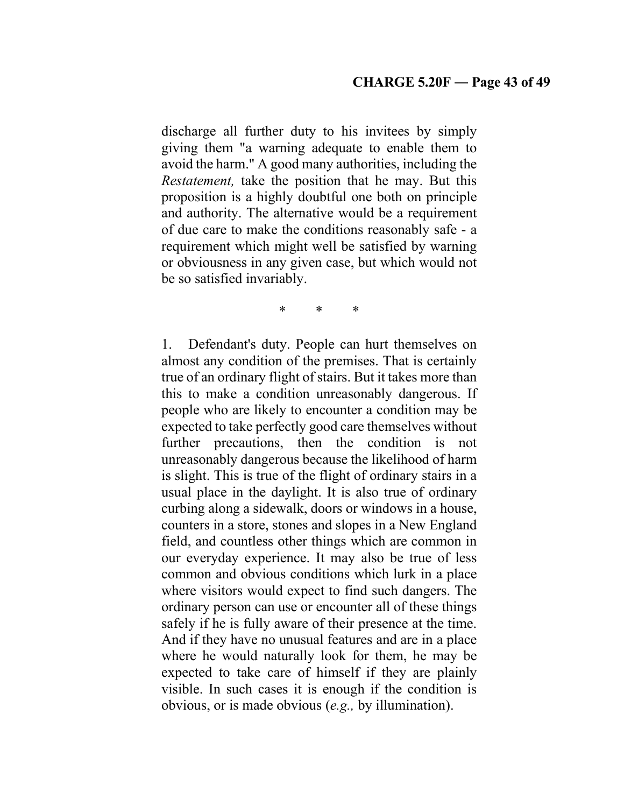discharge all further duty to his invitees by simply giving them "a warning adequate to enable them to avoid the harm." A good many authorities, including the *Restatement,* take the position that he may. But this proposition is a highly doubtful one both on principle and authority. The alternative would be a requirement of due care to make the conditions reasonably safe - a requirement which might well be satisfied by warning or obviousness in any given case, but which would not be so satisfied invariably.

\* \* \*

1. Defendant's duty. People can hurt themselves on almost any condition of the premises. That is certainly true of an ordinary flight of stairs. But it takes more than this to make a condition unreasonably dangerous. If people who are likely to encounter a condition may be expected to take perfectly good care themselves without further precautions, then the condition is not unreasonably dangerous because the likelihood of harm is slight. This is true of the flight of ordinary stairs in a usual place in the daylight. It is also true of ordinary curbing along a sidewalk, doors or windows in a house, counters in a store, stones and slopes in a New England field, and countless other things which are common in our everyday experience. It may also be true of less common and obvious conditions which lurk in a place where visitors would expect to find such dangers. The ordinary person can use or encounter all of these things safely if he is fully aware of their presence at the time. And if they have no unusual features and are in a place where he would naturally look for them, he may be expected to take care of himself if they are plainly visible. In such cases it is enough if the condition is obvious, or is made obvious (*e.g.,* by illumination).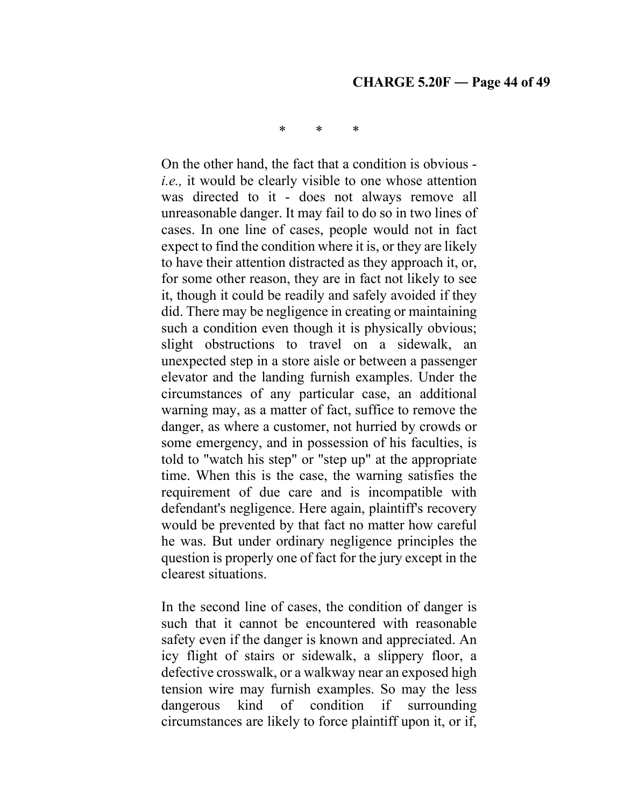### **CHARGE 5.20F ― Page 44 of 49**

\* \* \*

On the other hand, the fact that a condition is obvious *i.e.,* it would be clearly visible to one whose attention was directed to it - does not always remove all unreasonable danger. It may fail to do so in two lines of cases. In one line of cases, people would not in fact expect to find the condition where it is, or they are likely to have their attention distracted as they approach it, or, for some other reason, they are in fact not likely to see it, though it could be readily and safely avoided if they did. There may be negligence in creating or maintaining such a condition even though it is physically obvious; slight obstructions to travel on a sidewalk, an unexpected step in a store aisle or between a passenger elevator and the landing furnish examples. Under the circumstances of any particular case, an additional warning may, as a matter of fact, suffice to remove the danger, as where a customer, not hurried by crowds or some emergency, and in possession of his faculties, is told to "watch his step" or "step up" at the appropriate time. When this is the case, the warning satisfies the requirement of due care and is incompatible with defendant's negligence. Here again, plaintiff's recovery would be prevented by that fact no matter how careful he was. But under ordinary negligence principles the question is properly one of fact for the jury except in the clearest situations.

In the second line of cases, the condition of danger is such that it cannot be encountered with reasonable safety even if the danger is known and appreciated. An icy flight of stairs or sidewalk, a slippery floor, a defective crosswalk, or a walkway near an exposed high tension wire may furnish examples. So may the less dangerous kind of condition if surrounding circumstances are likely to force plaintiff upon it, or if,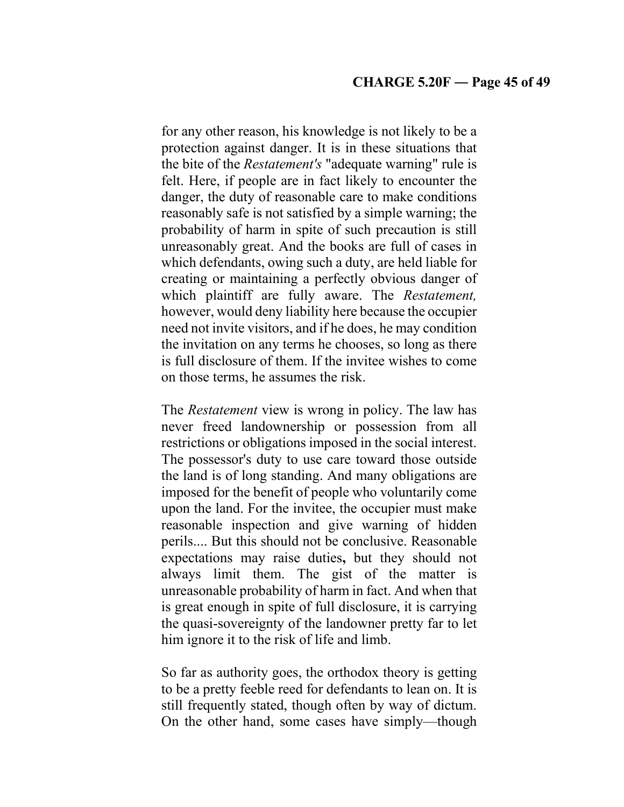for any other reason, his knowledge is not likely to be a protection against danger. It is in these situations that the bite of the *Restatement's* "adequate warning" rule is felt. Here, if people are in fact likely to encounter the danger, the duty of reasonable care to make conditions reasonably safe is not satisfied by a simple warning; the probability of harm in spite of such precaution is still unreasonably great. And the books are full of cases in which defendants, owing such a duty, are held liable for creating or maintaining a perfectly obvious danger of which plaintiff are fully aware. The *Restatement,*  however, would deny liability here because the occupier need not invite visitors, and if he does, he may condition the invitation on any terms he chooses, so long as there is full disclosure of them. If the invitee wishes to come on those terms, he assumes the risk.

The *Restatement* view is wrong in policy. The law has never freed landownership or possession from all restrictions or obligations imposed in the social interest. The possessor's duty to use care toward those outside the land is of long standing. And many obligations are imposed for the benefit of people who voluntarily come upon the land. For the invitee, the occupier must make reasonable inspection and give warning of hidden perils.... But this should not be conclusive. Reasonable expectations may raise duties**,** but they should not always limit them. The gist of the matter is unreasonable probability of harm in fact. And when that is great enough in spite of full disclosure, it is carrying the quasi-sovereignty of the landowner pretty far to let him ignore it to the risk of life and limb.

So far as authority goes, the orthodox theory is getting to be a pretty feeble reed for defendants to lean on. It is still frequently stated, though often by way of dictum. On the other hand, some cases have simply—though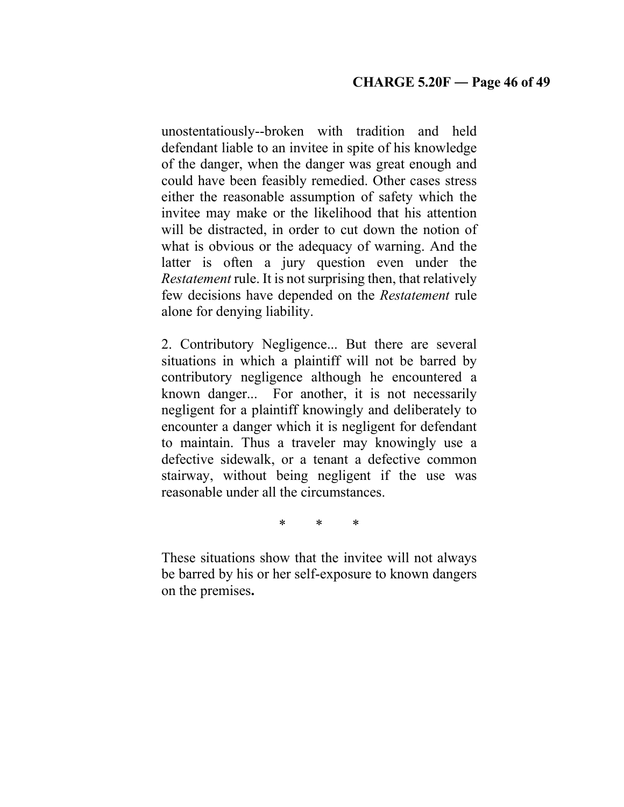unostentatiously--broken with tradition and held defendant liable to an invitee in spite of his knowledge of the danger, when the danger was great enough and could have been feasibly remedied. Other cases stress either the reasonable assumption of safety which the invitee may make or the likelihood that his attention will be distracted, in order to cut down the notion of what is obvious or the adequacy of warning. And the latter is often a jury question even under the *Restatement* rule. It is not surprising then, that relatively few decisions have depended on the *Restatement* rule alone for denying liability.

2. Contributory Negligence... But there are several situations in which a plaintiff will not be barred by contributory negligence although he encountered a known danger... For another, it is not necessarily negligent for a plaintiff knowingly and deliberately to encounter a danger which it is negligent for defendant to maintain. Thus a traveler may knowingly use a defective sidewalk, or a tenant a defective common stairway, without being negligent if the use was reasonable under all the circumstances.

\* \* \*

These situations show that the invitee will not always be barred by his or her self-exposure to known dangers on the premises**.**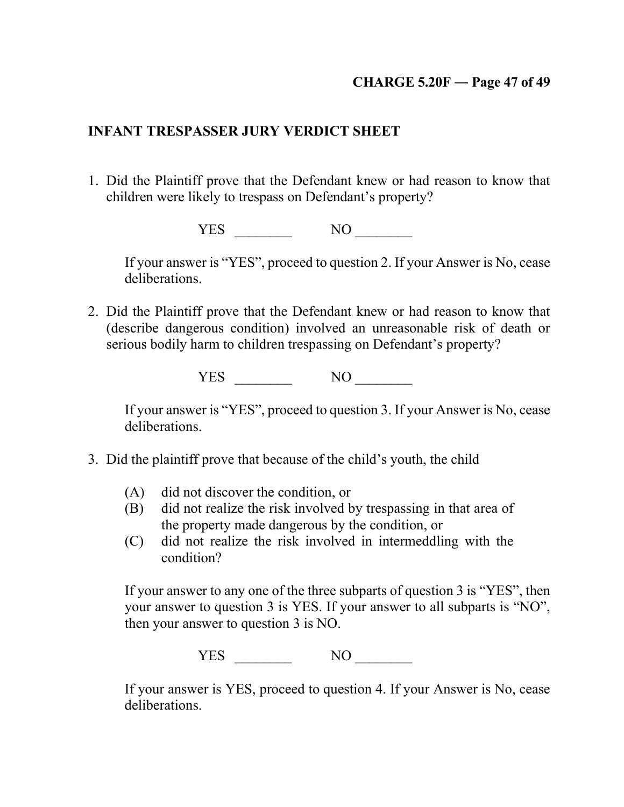# **CHARGE 5.20F ― Page 47 of 49**

# **INFANT TRESPASSER JURY VERDICT SHEET**

1. Did the Plaintiff prove that the Defendant knew or had reason to know that children were likely to trespass on Defendant's property?

YES \_\_\_\_\_\_\_\_ NO \_\_\_\_\_\_\_\_

If your answer is "YES", proceed to question 2. If your Answer is No, cease deliberations.

2. Did the Plaintiff prove that the Defendant knew or had reason to know that (describe dangerous condition) involved an unreasonable risk of death or serious bodily harm to children trespassing on Defendant's property?

YES NO NO

If your answer is "YES", proceed to question 3. If your Answer is No, cease deliberations.

- 3. Did the plaintiff prove that because of the child's youth, the child
	- (A) did not discover the condition, or
	- (B) did not realize the risk involved by trespassing in that area of the property made dangerous by the condition, or
	- (C) did not realize the risk involved in intermeddling with the condition?

If your answer to any one of the three subparts of question 3 is "YES", then your answer to question 3 is YES. If your answer to all subparts is "NO", then your answer to question 3 is NO.

YES NO

If your answer is YES, proceed to question 4. If your Answer is No, cease deliberations.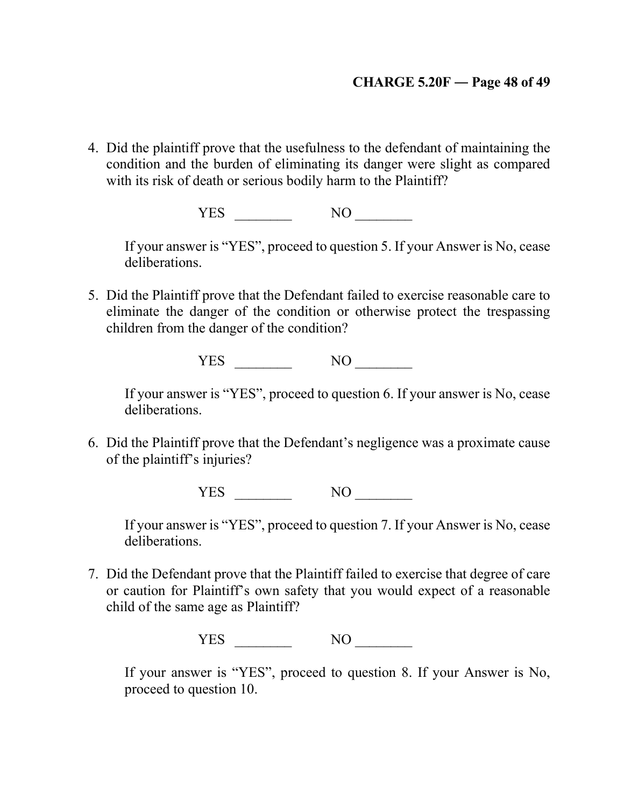# **CHARGE 5.20F ― Page 48 of 49**

4. Did the plaintiff prove that the usefulness to the defendant of maintaining the condition and the burden of eliminating its danger were slight as compared with its risk of death or serious bodily harm to the Plaintiff?

YES NO

If your answer is "YES", proceed to question 5. If your Answer is No, cease deliberations.

5. Did the Plaintiff prove that the Defendant failed to exercise reasonable care to eliminate the danger of the condition or otherwise protect the trespassing children from the danger of the condition?

YES NO

If your answer is "YES", proceed to question 6. If your answer is No, cease deliberations.

6. Did the Plaintiff prove that the Defendant's negligence was a proximate cause of the plaintiff's injuries?

YES NO

If your answer is "YES", proceed to question 7. If your Answer is No, cease deliberations.

7. Did the Defendant prove that the Plaintiff failed to exercise that degree of care or caution for Plaintiff's own safety that you would expect of a reasonable child of the same age as Plaintiff?

YES NO

If your answer is "YES", proceed to question 8. If your Answer is No, proceed to question 10.